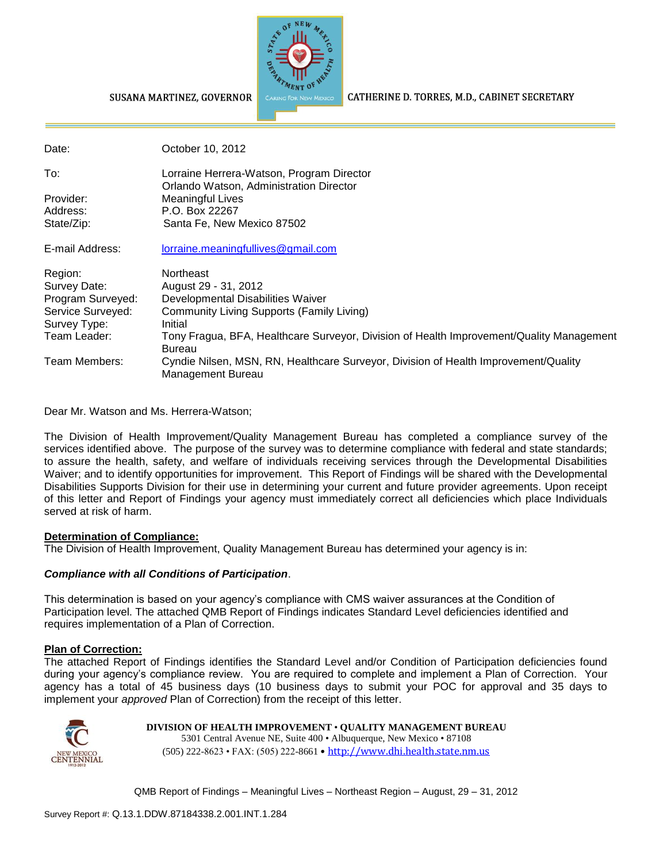

#### CATHERINE D. TORRES, M.D., CABINET SECRETARY

SUSANA MARTINEZ, GOVERNOR

| Date:             | October 10, 2012                                                                                          |
|-------------------|-----------------------------------------------------------------------------------------------------------|
| To:               | Lorraine Herrera-Watson, Program Director                                                                 |
| Provider:         | Orlando Watson, Administration Director<br><b>Meaningful Lives</b>                                        |
| Address:          | P.O. Box 22267                                                                                            |
| State/Zip:        | Santa Fe, New Mexico 87502                                                                                |
| E-mail Address:   | lorraine.meaningfullives@gmail.com                                                                        |
| Region:           | Northeast                                                                                                 |
| Survey Date:      | August 29 - 31, 2012                                                                                      |
| Program Surveyed: | Developmental Disabilities Waiver                                                                         |
| Service Surveyed: | Community Living Supports (Family Living)                                                                 |
| Survey Type:      | Initial                                                                                                   |
| Team Leader:      | Tony Fragua, BFA, Healthcare Surveyor, Division of Health Improvement/Quality Management<br><b>Bureau</b> |
| Team Members:     | Cyndie Nilsen, MSN, RN, Healthcare Surveyor, Division of Health Improvement/Quality<br>Management Bureau  |

Dear Mr. Watson and Ms. Herrera-Watson;

The Division of Health Improvement/Quality Management Bureau has completed a compliance survey of the services identified above. The purpose of the survey was to determine compliance with federal and state standards; to assure the health, safety, and welfare of individuals receiving services through the Developmental Disabilities Waiver; and to identify opportunities for improvement. This Report of Findings will be shared with the Developmental Disabilities Supports Division for their use in determining your current and future provider agreements. Upon receipt of this letter and Report of Findings your agency must immediately correct all deficiencies which place Individuals served at risk of harm.

#### **Determination of Compliance:**

The Division of Health Improvement, Quality Management Bureau has determined your agency is in:

#### *Compliance with all Conditions of Participation*.

This determination is based on your agency's compliance with CMS waiver assurances at the Condition of Participation level. The attached QMB Report of Findings indicates Standard Level deficiencies identified and requires implementation of a Plan of Correction.

#### **Plan of Correction:**

The attached Report of Findings identifies the Standard Level and/or Condition of Participation deficiencies found during your agency's compliance review. You are required to complete and implement a Plan of Correction. Your agency has a total of 45 business days (10 business days to submit your POC for approval and 35 days to implement your *approved* Plan of Correction) from the receipt of this letter.



#### **DIVISION OF HEALTH IMPROVEMENT** • **QUALITY MANAGEMENT BUREAU**

5301 Central Avenue NE, Suite 400 • Albuquerque, New Mexico • 87108 (505) 222-8623 • FAX: (505) 222-8661 • http://www.dhi.health.state.nm.us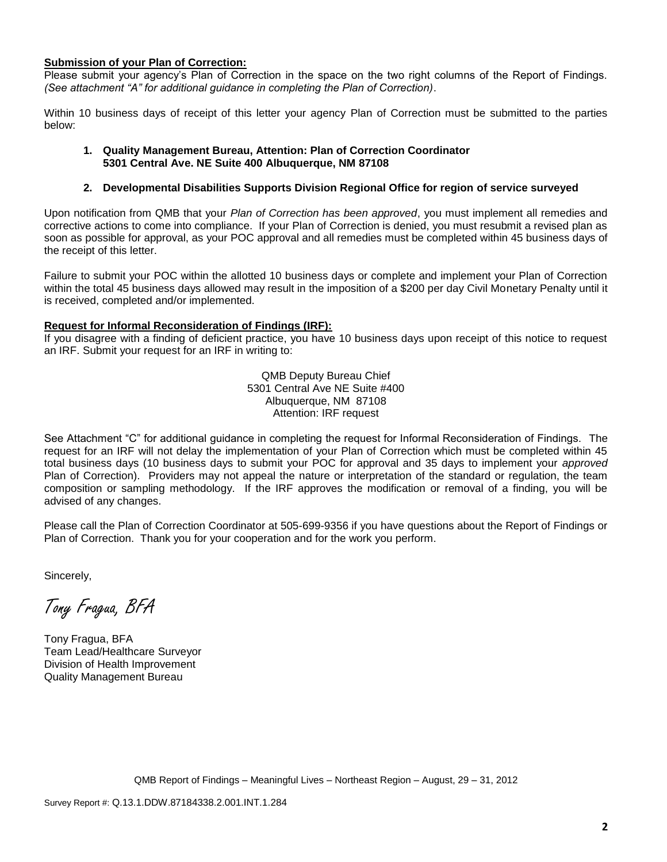#### **Submission of your Plan of Correction:**

Please submit your agency's Plan of Correction in the space on the two right columns of the Report of Findings. *(See attachment "A" for additional guidance in completing the Plan of Correction)*.

Within 10 business days of receipt of this letter your agency Plan of Correction must be submitted to the parties below:

#### **1. Quality Management Bureau, Attention: Plan of Correction Coordinator 5301 Central Ave. NE Suite 400 Albuquerque, NM 87108**

#### **2. Developmental Disabilities Supports Division Regional Office for region of service surveyed**

Upon notification from QMB that your *Plan of Correction has been approved*, you must implement all remedies and corrective actions to come into compliance. If your Plan of Correction is denied, you must resubmit a revised plan as soon as possible for approval, as your POC approval and all remedies must be completed within 45 business days of the receipt of this letter.

Failure to submit your POC within the allotted 10 business days or complete and implement your Plan of Correction within the total 45 business days allowed may result in the imposition of a \$200 per day Civil Monetary Penalty until it is received, completed and/or implemented.

#### **Request for Informal Reconsideration of Findings (IRF):**

If you disagree with a finding of deficient practice, you have 10 business days upon receipt of this notice to request an IRF. Submit your request for an IRF in writing to:

> QMB Deputy Bureau Chief 5301 Central Ave NE Suite #400 Albuquerque, NM 87108 Attention: IRF request

See Attachment "C" for additional guidance in completing the request for Informal Reconsideration of Findings. The request for an IRF will not delay the implementation of your Plan of Correction which must be completed within 45 total business days (10 business days to submit your POC for approval and 35 days to implement your *approved* Plan of Correction). Providers may not appeal the nature or interpretation of the standard or regulation, the team composition or sampling methodology. If the IRF approves the modification or removal of a finding, you will be advised of any changes.

Please call the Plan of Correction Coordinator at 505-699-9356 if you have questions about the Report of Findings or Plan of Correction. Thank you for your cooperation and for the work you perform.

Sincerely,

Tony Fragua, BFA

Tony Fragua, BFA Team Lead/Healthcare Surveyor Division of Health Improvement Quality Management Bureau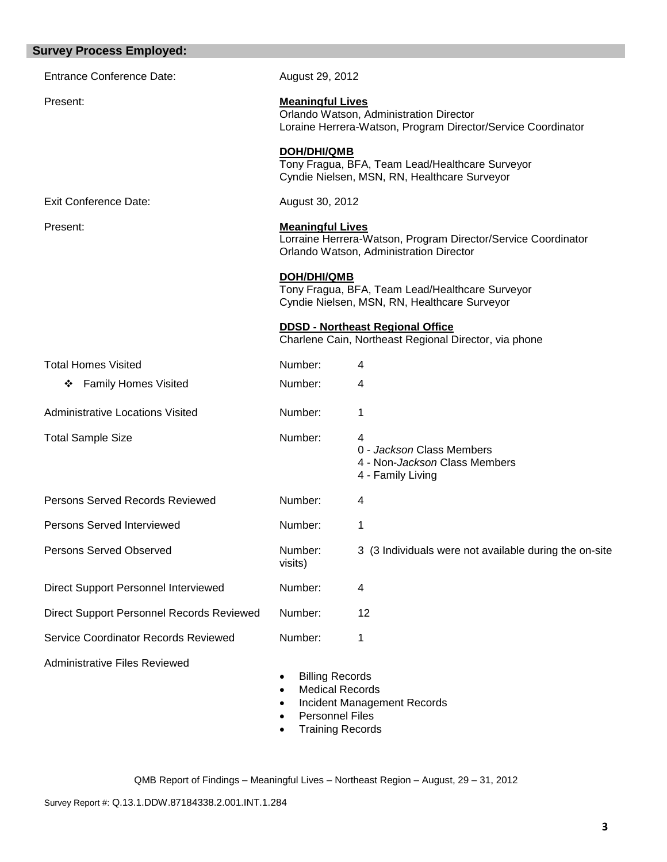| <b>Survey Process Employed:</b>             |                                                                                                                                    |                                                                                                          |  |
|---------------------------------------------|------------------------------------------------------------------------------------------------------------------------------------|----------------------------------------------------------------------------------------------------------|--|
| <b>Entrance Conference Date:</b>            | August 29, 2012                                                                                                                    |                                                                                                          |  |
| Present:                                    | <b>Meaningful Lives</b><br>Orlando Watson, Administration Director<br>Loraine Herrera-Watson, Program Director/Service Coordinator |                                                                                                          |  |
|                                             | <b>DOH/DHI/QMB</b>                                                                                                                 | Tony Fragua, BFA, Team Lead/Healthcare Surveyor<br>Cyndie Nielsen, MSN, RN, Healthcare Surveyor          |  |
| <b>Exit Conference Date:</b>                | August 30, 2012                                                                                                                    |                                                                                                          |  |
| Present:                                    | <b>Meaningful Lives</b>                                                                                                            | Lorraine Herrera-Watson, Program Director/Service Coordinator<br>Orlando Watson, Administration Director |  |
|                                             | <b>DOH/DHI/QMB</b>                                                                                                                 | Tony Fragua, BFA, Team Lead/Healthcare Surveyor<br>Cyndie Nielsen, MSN, RN, Healthcare Surveyor          |  |
|                                             |                                                                                                                                    | <b>DDSD - Northeast Regional Office</b><br>Charlene Cain, Northeast Regional Director, via phone         |  |
| <b>Total Homes Visited</b>                  | Number:                                                                                                                            | 4                                                                                                        |  |
| <b>Family Homes Visited</b><br>❖            | Number:                                                                                                                            | 4                                                                                                        |  |
| <b>Administrative Locations Visited</b>     | Number:                                                                                                                            | 1                                                                                                        |  |
| <b>Total Sample Size</b>                    | Number:                                                                                                                            | 4<br>0 - Jackson Class Members<br>4 - Non-Jackson Class Members<br>4 - Family Living                     |  |
| Persons Served Records Reviewed             | Number:                                                                                                                            | 4                                                                                                        |  |
| Persons Served Interviewed                  | Number:                                                                                                                            | 1                                                                                                        |  |
| Persons Served Observed                     | Number:<br>visits)                                                                                                                 | 3 (3 Individuals were not available during the on-site                                                   |  |
| <b>Direct Support Personnel Interviewed</b> | Number:                                                                                                                            | 4                                                                                                        |  |
| Direct Support Personnel Records Reviewed   | Number:                                                                                                                            | 12                                                                                                       |  |
| Service Coordinator Records Reviewed        | Number:                                                                                                                            | 1                                                                                                        |  |
| <b>Administrative Files Reviewed</b>        | <b>Billing Records</b><br><b>Medical Records</b>                                                                                   | <b>Incident Management Records</b>                                                                       |  |

- Personnel Files
- Training Records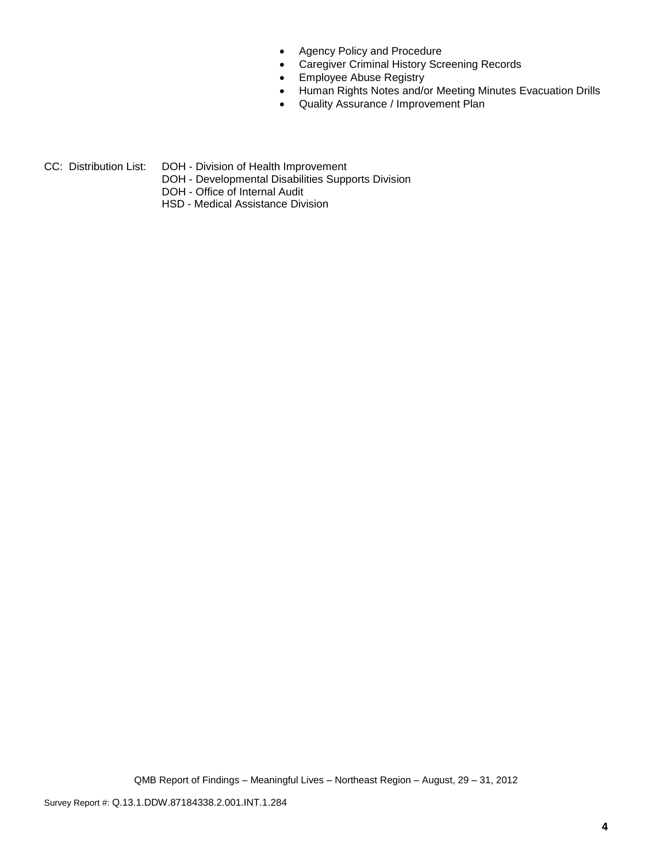- Agency Policy and Procedure
- Caregiver Criminal History Screening Records
- **•** Employee Abuse Registry
- Human Rights Notes and/or Meeting Minutes Evacuation Drills
- Quality Assurance / Improvement Plan
- CC: Distribution List: DOH Division of Health Improvement
	- DOH Developmental Disabilities Supports Division
	- DOH Office of Internal Audit
	- HSD Medical Assistance Division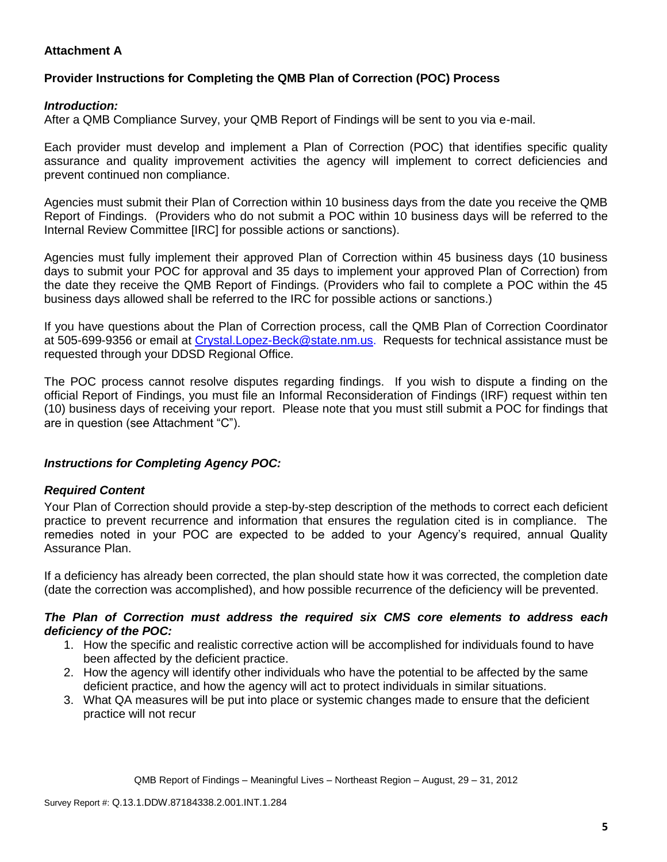## **Attachment A**

## **Provider Instructions for Completing the QMB Plan of Correction (POC) Process**

## *Introduction:*

After a QMB Compliance Survey, your QMB Report of Findings will be sent to you via e-mail.

Each provider must develop and implement a Plan of Correction (POC) that identifies specific quality assurance and quality improvement activities the agency will implement to correct deficiencies and prevent continued non compliance.

Agencies must submit their Plan of Correction within 10 business days from the date you receive the QMB Report of Findings. (Providers who do not submit a POC within 10 business days will be referred to the Internal Review Committee [IRC] for possible actions or sanctions).

Agencies must fully implement their approved Plan of Correction within 45 business days (10 business days to submit your POC for approval and 35 days to implement your approved Plan of Correction) from the date they receive the QMB Report of Findings. (Providers who fail to complete a POC within the 45 business days allowed shall be referred to the IRC for possible actions or sanctions.)

If you have questions about the Plan of Correction process, call the QMB Plan of Correction Coordinator at 505-699-9356 or email at Crystal.Lopez-Beck@state.nm.us. Requests for technical assistance must be requested through your DDSD Regional Office.

The POC process cannot resolve disputes regarding findings. If you wish to dispute a finding on the official Report of Findings, you must file an Informal Reconsideration of Findings (IRF) request within ten (10) business days of receiving your report. Please note that you must still submit a POC for findings that are in question (see Attachment "C").

## *Instructions for Completing Agency POC:*

## *Required Content*

Your Plan of Correction should provide a step-by-step description of the methods to correct each deficient practice to prevent recurrence and information that ensures the regulation cited is in compliance. The remedies noted in your POC are expected to be added to your Agency's required, annual Quality Assurance Plan.

If a deficiency has already been corrected, the plan should state how it was corrected, the completion date (date the correction was accomplished), and how possible recurrence of the deficiency will be prevented.

### *The Plan of Correction must address the required six CMS core elements to address each deficiency of the POC:*

- 1. How the specific and realistic corrective action will be accomplished for individuals found to have been affected by the deficient practice.
- 2. How the agency will identify other individuals who have the potential to be affected by the same deficient practice, and how the agency will act to protect individuals in similar situations.
- 3. What QA measures will be put into place or systemic changes made to ensure that the deficient practice will not recur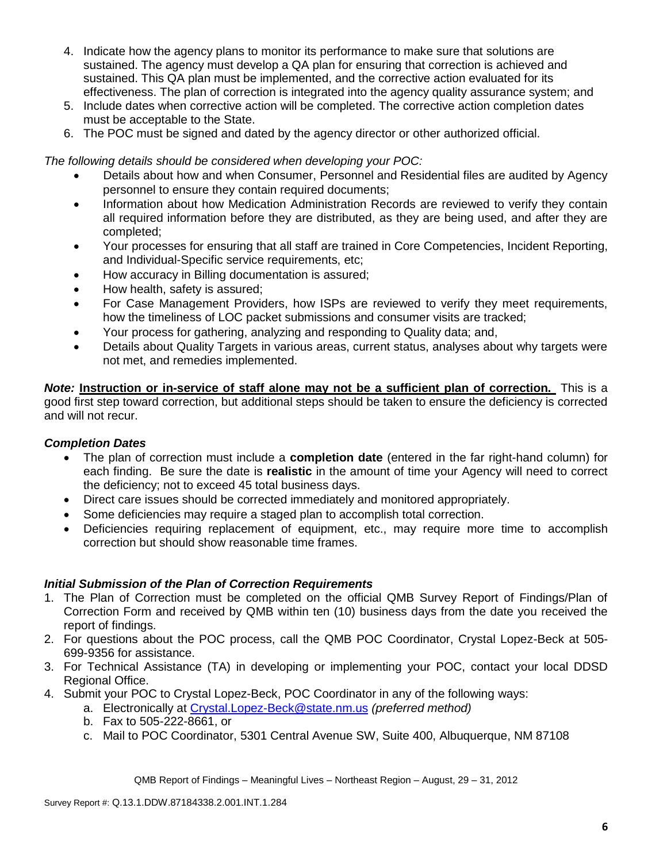- 4. Indicate how the agency plans to monitor its performance to make sure that solutions are sustained. The agency must develop a QA plan for ensuring that correction is achieved and sustained. This QA plan must be implemented, and the corrective action evaluated for its effectiveness. The plan of correction is integrated into the agency quality assurance system; and
- 5. Include dates when corrective action will be completed. The corrective action completion dates must be acceptable to the State.
- 6. The POC must be signed and dated by the agency director or other authorized official.

*The following details should be considered when developing your POC:*

- Details about how and when Consumer, Personnel and Residential files are audited by Agency personnel to ensure they contain required documents;
- Information about how Medication Administration Records are reviewed to verify they contain all required information before they are distributed, as they are being used, and after they are completed;
- Your processes for ensuring that all staff are trained in Core Competencies, Incident Reporting, and Individual-Specific service requirements, etc;
- How accuracy in Billing documentation is assured;
- How health, safety is assured;
- For Case Management Providers, how ISPs are reviewed to verify they meet requirements, how the timeliness of LOC packet submissions and consumer visits are tracked;
- Your process for gathering, analyzing and responding to Quality data; and,
- Details about Quality Targets in various areas, current status, analyses about why targets were not met, and remedies implemented.

*Note:* **Instruction or in-service of staff alone may not be a sufficient plan of correction.** This is a good first step toward correction, but additional steps should be taken to ensure the deficiency is corrected and will not recur.

## *Completion Dates*

- The plan of correction must include a **completion date** (entered in the far right-hand column) for each finding. Be sure the date is **realistic** in the amount of time your Agency will need to correct the deficiency; not to exceed 45 total business days.
- Direct care issues should be corrected immediately and monitored appropriately.
- Some deficiencies may require a staged plan to accomplish total correction.
- Deficiencies requiring replacement of equipment, etc., may require more time to accomplish correction but should show reasonable time frames.

## *Initial Submission of the Plan of Correction Requirements*

- 1. The Plan of Correction must be completed on the official QMB Survey Report of Findings/Plan of Correction Form and received by QMB within ten (10) business days from the date you received the report of findings.
- 2. For questions about the POC process, call the QMB POC Coordinator, Crystal Lopez-Beck at 505- 699-9356 for assistance.
- 3. For Technical Assistance (TA) in developing or implementing your POC, contact your local DDSD Regional Office.
- 4. Submit your POC to Crystal Lopez-Beck, POC Coordinator in any of the following ways:
	- a. Electronically at Crystal.Lopez-Beck@state.nm.us *(preferred method)*
	- b. Fax to 505-222-8661, or
	- c. Mail to POC Coordinator, 5301 Central Avenue SW, Suite 400, Albuquerque, NM 87108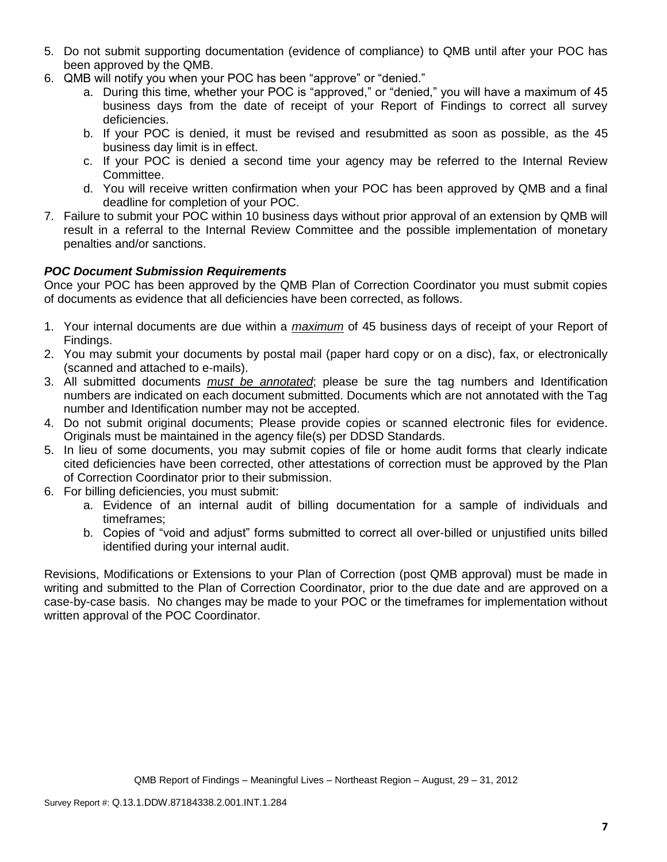- 5. Do not submit supporting documentation (evidence of compliance) to QMB until after your POC has been approved by the QMB.
- 6. QMB will notify you when your POC has been "approve" or "denied."
	- a. During this time, whether your POC is "approved," or "denied," you will have a maximum of 45 business days from the date of receipt of your Report of Findings to correct all survey deficiencies.
	- b. If your POC is denied, it must be revised and resubmitted as soon as possible, as the 45 business day limit is in effect.
	- c. If your POC is denied a second time your agency may be referred to the Internal Review Committee.
	- d. You will receive written confirmation when your POC has been approved by QMB and a final deadline for completion of your POC.
- 7. Failure to submit your POC within 10 business days without prior approval of an extension by QMB will result in a referral to the Internal Review Committee and the possible implementation of monetary penalties and/or sanctions.

# *POC Document Submission Requirements*

Once your POC has been approved by the QMB Plan of Correction Coordinator you must submit copies of documents as evidence that all deficiencies have been corrected, as follows.

- 1. Your internal documents are due within a *maximum* of 45 business days of receipt of your Report of Findings.
- 2. You may submit your documents by postal mail (paper hard copy or on a disc), fax, or electronically (scanned and attached to e-mails).
- 3. All submitted documents *must be annotated*; please be sure the tag numbers and Identification numbers are indicated on each document submitted. Documents which are not annotated with the Tag number and Identification number may not be accepted.
- 4. Do not submit original documents; Please provide copies or scanned electronic files for evidence. Originals must be maintained in the agency file(s) per DDSD Standards.
- 5. In lieu of some documents, you may submit copies of file or home audit forms that clearly indicate cited deficiencies have been corrected, other attestations of correction must be approved by the Plan of Correction Coordinator prior to their submission.
- 6. For billing deficiencies, you must submit:
	- a. Evidence of an internal audit of billing documentation for a sample of individuals and timeframes;
	- b. Copies of "void and adjust" forms submitted to correct all over-billed or unjustified units billed identified during your internal audit.

Revisions, Modifications or Extensions to your Plan of Correction (post QMB approval) must be made in writing and submitted to the Plan of Correction Coordinator, prior to the due date and are approved on a case-by-case basis. No changes may be made to your POC or the timeframes for implementation without written approval of the POC Coordinator.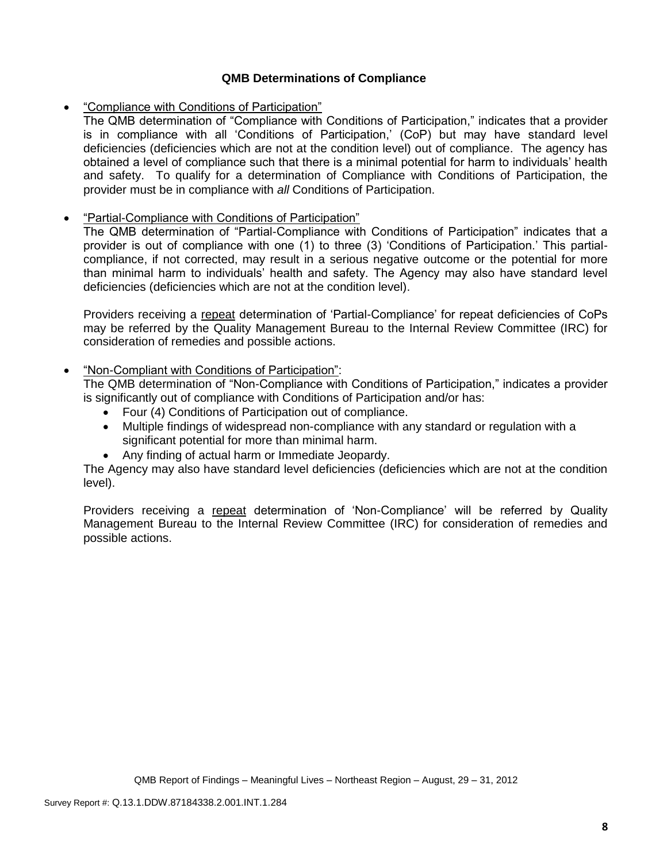## **QMB Determinations of Compliance**

"Compliance with Conditions of Participation"

The QMB determination of "Compliance with Conditions of Participation," indicates that a provider is in compliance with all 'Conditions of Participation,' (CoP) but may have standard level deficiencies (deficiencies which are not at the condition level) out of compliance. The agency has obtained a level of compliance such that there is a minimal potential for harm to individuals' health and safety. To qualify for a determination of Compliance with Conditions of Participation, the provider must be in compliance with *all* Conditions of Participation.

### "Partial-Compliance with Conditions of Participation"

The QMB determination of "Partial-Compliance with Conditions of Participation" indicates that a provider is out of compliance with one (1) to three (3) 'Conditions of Participation.' This partialcompliance, if not corrected, may result in a serious negative outcome or the potential for more than minimal harm to individuals' health and safety. The Agency may also have standard level deficiencies (deficiencies which are not at the condition level).

Providers receiving a repeat determination of 'Partial-Compliance' for repeat deficiencies of CoPs may be referred by the Quality Management Bureau to the Internal Review Committee (IRC) for consideration of remedies and possible actions.

## "Non-Compliant with Conditions of Participation":

The QMB determination of "Non-Compliance with Conditions of Participation," indicates a provider is significantly out of compliance with Conditions of Participation and/or has:

- Four (4) Conditions of Participation out of compliance.
- Multiple findings of widespread non-compliance with any standard or regulation with a significant potential for more than minimal harm.
- Any finding of actual harm or Immediate Jeopardy.

The Agency may also have standard level deficiencies (deficiencies which are not at the condition level).

Providers receiving a repeat determination of 'Non-Compliance' will be referred by Quality Management Bureau to the Internal Review Committee (IRC) for consideration of remedies and possible actions.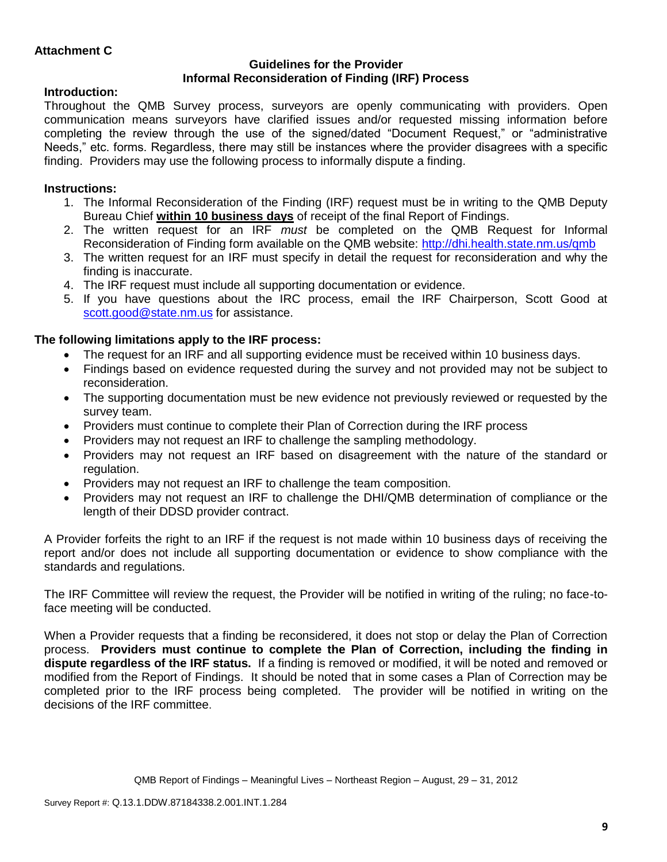### **Guidelines for the Provider Informal Reconsideration of Finding (IRF) Process**

# **Introduction:**

Throughout the QMB Survey process, surveyors are openly communicating with providers. Open communication means surveyors have clarified issues and/or requested missing information before completing the review through the use of the signed/dated "Document Request," or "administrative Needs," etc. forms. Regardless, there may still be instances where the provider disagrees with a specific finding. Providers may use the following process to informally dispute a finding.

# **Instructions:**

- 1. The Informal Reconsideration of the Finding (IRF) request must be in writing to the QMB Deputy Bureau Chief **within 10 business days** of receipt of the final Report of Findings.
- 2. The written request for an IRF *must* be completed on the QMB Request for Informal Reconsideration of Finding form available on the QMB website:<http://dhi.health.state.nm.us/qmb>
- 3. The written request for an IRF must specify in detail the request for reconsideration and why the finding is inaccurate.
- 4. The IRF request must include all supporting documentation or evidence.
- 5. If you have questions about the IRC process, email the IRF Chairperson, Scott Good at [scott.good@state.nm.us](mailto:scott.good@state.nm.us) for assistance.

# **The following limitations apply to the IRF process:**

- The request for an IRF and all supporting evidence must be received within 10 business days.
- Findings based on evidence requested during the survey and not provided may not be subject to reconsideration.
- The supporting documentation must be new evidence not previously reviewed or requested by the survey team.
- Providers must continue to complete their Plan of Correction during the IRF process
- Providers may not request an IRF to challenge the sampling methodology.
- Providers may not request an IRF based on disagreement with the nature of the standard or regulation.
- Providers may not request an IRF to challenge the team composition.
- Providers may not request an IRF to challenge the DHI/QMB determination of compliance or the length of their DDSD provider contract.

A Provider forfeits the right to an IRF if the request is not made within 10 business days of receiving the report and/or does not include all supporting documentation or evidence to show compliance with the standards and regulations.

The IRF Committee will review the request, the Provider will be notified in writing of the ruling; no face-toface meeting will be conducted.

When a Provider requests that a finding be reconsidered, it does not stop or delay the Plan of Correction process. **Providers must continue to complete the Plan of Correction, including the finding in dispute regardless of the IRF status.** If a finding is removed or modified, it will be noted and removed or modified from the Report of Findings. It should be noted that in some cases a Plan of Correction may be completed prior to the IRF process being completed. The provider will be notified in writing on the decisions of the IRF committee.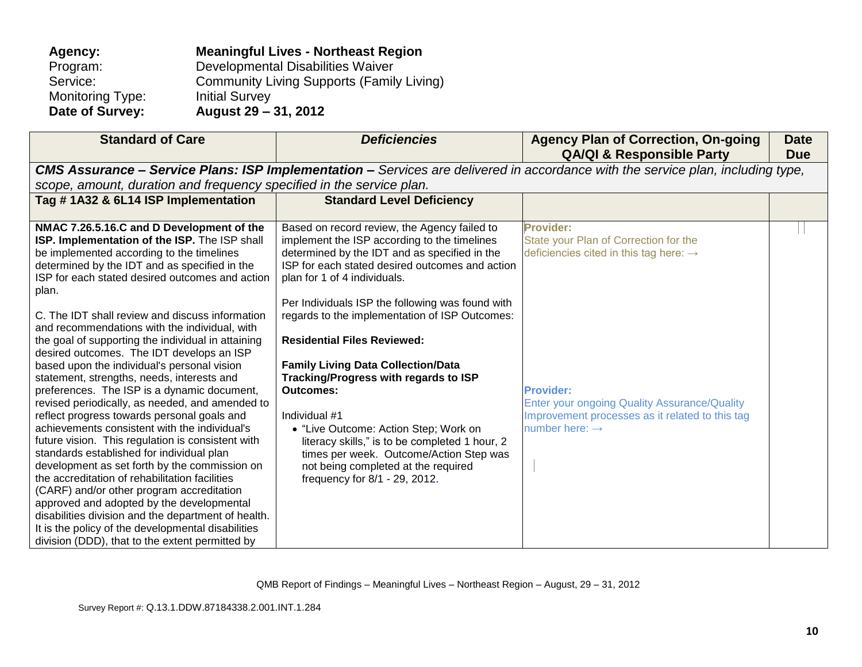| Agency:                 | <b>Meaningful Lives - Northeast Region</b>       |
|-------------------------|--------------------------------------------------|
| Program:                | Developmental Disabilities Waiver                |
| Service:                | <b>Community Living Supports (Family Living)</b> |
| <b>Monitoring Type:</b> | <b>Initial Survey</b>                            |
| Date of Survey:         | August 29 – 31, 2012                             |

| <b>Standard of Care</b>                                                                                   | <b>Deficiencies</b>                              | <b>Agency Plan of Correction, On-going</b><br><b>QA/QI &amp; Responsible Party</b>                                                     | <b>Date</b><br><b>Due</b> |
|-----------------------------------------------------------------------------------------------------------|--------------------------------------------------|----------------------------------------------------------------------------------------------------------------------------------------|---------------------------|
|                                                                                                           |                                                  | <b>CMS Assurance – Service Plans: ISP Implementation –</b> Services are delivered in accordance with the service plan, including type, |                           |
| scope, amount, duration and frequency specified in the service plan.                                      |                                                  |                                                                                                                                        |                           |
| Tag # 1A32 & 6L14 ISP Implementation                                                                      | <b>Standard Level Deficiency</b>                 |                                                                                                                                        |                           |
|                                                                                                           |                                                  |                                                                                                                                        |                           |
| NMAC 7.26.5.16.C and D Development of the                                                                 | Based on record review, the Agency failed to     | <b>Provider:</b>                                                                                                                       |                           |
| ISP. Implementation of the ISP. The ISP shall                                                             | implement the ISP according to the timelines     | State your Plan of Correction for the                                                                                                  |                           |
| be implemented according to the timelines                                                                 | determined by the IDT and as specified in the    | deficiencies cited in this tag here: $\rightarrow$                                                                                     |                           |
| determined by the IDT and as specified in the<br>ISP for each stated desired outcomes and action          | ISP for each stated desired outcomes and action  |                                                                                                                                        |                           |
| plan.                                                                                                     | plan for 1 of 4 individuals.                     |                                                                                                                                        |                           |
|                                                                                                           | Per Individuals ISP the following was found with |                                                                                                                                        |                           |
| C. The IDT shall review and discuss information                                                           | regards to the implementation of ISP Outcomes:   |                                                                                                                                        |                           |
| and recommendations with the individual, with                                                             |                                                  |                                                                                                                                        |                           |
| the goal of supporting the individual in attaining                                                        | <b>Residential Files Reviewed:</b>               |                                                                                                                                        |                           |
| desired outcomes. The IDT develops an ISP                                                                 |                                                  |                                                                                                                                        |                           |
| based upon the individual's personal vision                                                               | <b>Family Living Data Collection/Data</b>        |                                                                                                                                        |                           |
| statement, strengths, needs, interests and                                                                | Tracking/Progress with regards to ISP            |                                                                                                                                        |                           |
| preferences. The ISP is a dynamic document,                                                               | <b>Outcomes:</b>                                 | <b>Provider:</b>                                                                                                                       |                           |
| revised periodically, as needed, and amended to                                                           |                                                  | <b>Enter your ongoing Quality Assurance/Quality</b>                                                                                    |                           |
| reflect progress towards personal goals and                                                               | Individual #1                                    | Improvement processes as it related to this tag                                                                                        |                           |
| achievements consistent with the individual's                                                             | • "Live Outcome: Action Step; Work on            | number here: $\rightarrow$                                                                                                             |                           |
| future vision. This regulation is consistent with                                                         | literacy skills," is to be completed 1 hour, 2   |                                                                                                                                        |                           |
| standards established for individual plan                                                                 | times per week. Outcome/Action Step was          |                                                                                                                                        |                           |
| development as set forth by the commission on                                                             | not being completed at the required              |                                                                                                                                        |                           |
| the accreditation of rehabilitation facilities                                                            | frequency for 8/1 - 29, 2012.                    |                                                                                                                                        |                           |
| (CARF) and/or other program accreditation                                                                 |                                                  |                                                                                                                                        |                           |
| approved and adopted by the developmental                                                                 |                                                  |                                                                                                                                        |                           |
| disabilities division and the department of health.<br>It is the policy of the developmental disabilities |                                                  |                                                                                                                                        |                           |
| division (DDD), that to the extent permitted by                                                           |                                                  |                                                                                                                                        |                           |
|                                                                                                           |                                                  |                                                                                                                                        |                           |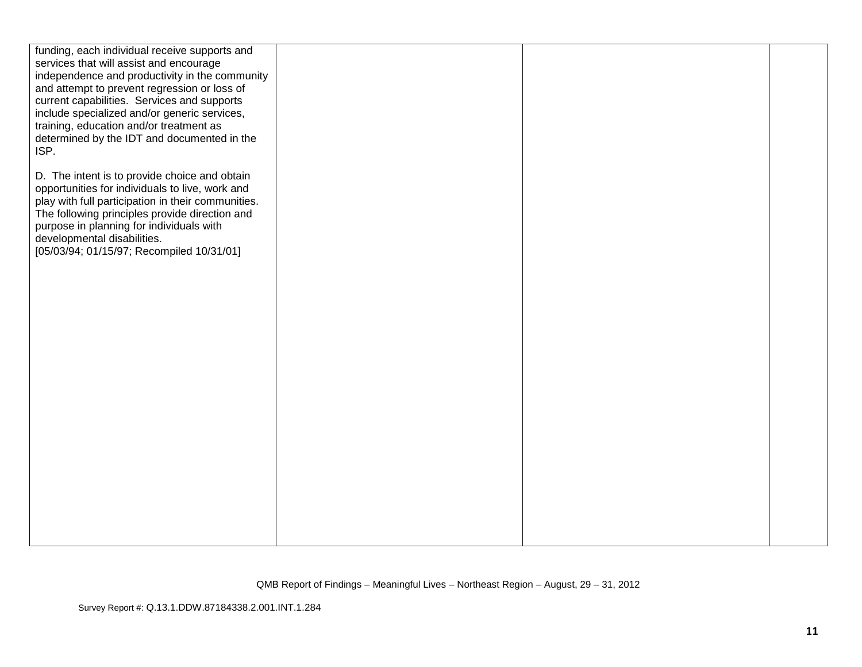| funding, each individual receive supports and                                              |  |  |
|--------------------------------------------------------------------------------------------|--|--|
| services that will assist and encourage<br>independence and productivity in the community  |  |  |
| and attempt to prevent regression or loss of                                               |  |  |
| current capabilities. Services and supports                                                |  |  |
| include specialized and/or generic services,                                               |  |  |
| training, education and/or treatment as                                                    |  |  |
| determined by the IDT and documented in the<br>ISP.                                        |  |  |
|                                                                                            |  |  |
| D. The intent is to provide choice and obtain                                              |  |  |
| opportunities for individuals to live, work and                                            |  |  |
| play with full participation in their communities.                                         |  |  |
| The following principles provide direction and<br>purpose in planning for individuals with |  |  |
| developmental disabilities.                                                                |  |  |
| [05/03/94; 01/15/97; Recompiled 10/31/01]                                                  |  |  |
|                                                                                            |  |  |
|                                                                                            |  |  |
|                                                                                            |  |  |
|                                                                                            |  |  |
|                                                                                            |  |  |
|                                                                                            |  |  |
|                                                                                            |  |  |
|                                                                                            |  |  |
|                                                                                            |  |  |
|                                                                                            |  |  |
|                                                                                            |  |  |
|                                                                                            |  |  |
|                                                                                            |  |  |
|                                                                                            |  |  |
|                                                                                            |  |  |
|                                                                                            |  |  |
|                                                                                            |  |  |
|                                                                                            |  |  |
|                                                                                            |  |  |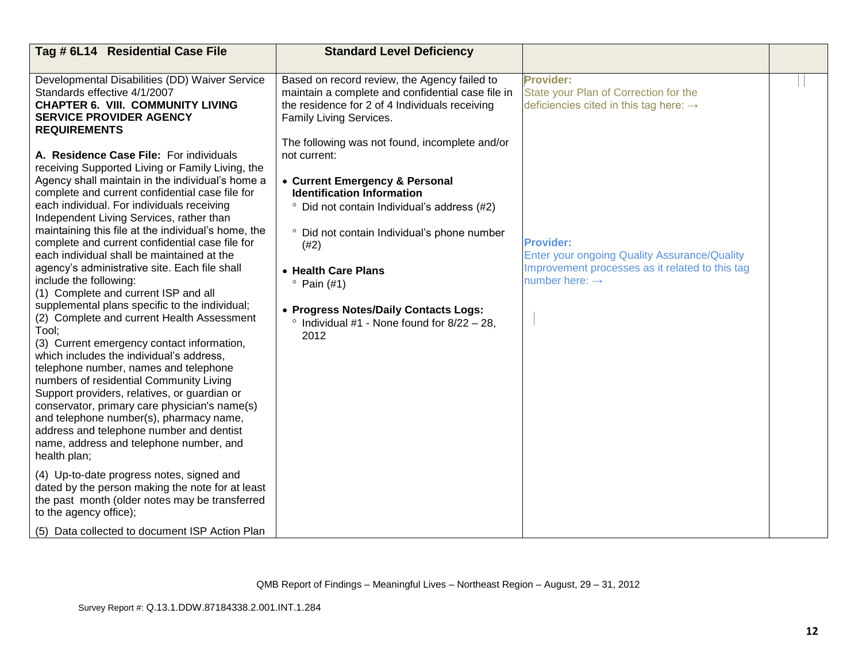| Tag # 6L14 Residential Case File                                                                                                                                                                                                                                                                                                                                                                                                                                                                                                                                                                                                                                                                                                                                                                                                                                                                                                                                                                                                                                                                                                                                                                  | <b>Standard Level Deficiency</b>                                                                                                                                                                                                                                                                                                                                                                                                                                                                                                                                                   |                                                                                                                                                                                                                                                                      |  |
|---------------------------------------------------------------------------------------------------------------------------------------------------------------------------------------------------------------------------------------------------------------------------------------------------------------------------------------------------------------------------------------------------------------------------------------------------------------------------------------------------------------------------------------------------------------------------------------------------------------------------------------------------------------------------------------------------------------------------------------------------------------------------------------------------------------------------------------------------------------------------------------------------------------------------------------------------------------------------------------------------------------------------------------------------------------------------------------------------------------------------------------------------------------------------------------------------|------------------------------------------------------------------------------------------------------------------------------------------------------------------------------------------------------------------------------------------------------------------------------------------------------------------------------------------------------------------------------------------------------------------------------------------------------------------------------------------------------------------------------------------------------------------------------------|----------------------------------------------------------------------------------------------------------------------------------------------------------------------------------------------------------------------------------------------------------------------|--|
| Developmental Disabilities (DD) Waiver Service<br>Standards effective 4/1/2007<br><b>CHAPTER 6. VIII. COMMUNITY LIVING</b><br><b>SERVICE PROVIDER AGENCY</b><br><b>REQUIREMENTS</b><br>A. Residence Case File: For individuals<br>receiving Supported Living or Family Living, the<br>Agency shall maintain in the individual's home a<br>complete and current confidential case file for<br>each individual. For individuals receiving<br>Independent Living Services, rather than<br>maintaining this file at the individual's home, the<br>complete and current confidential case file for<br>each individual shall be maintained at the<br>agency's administrative site. Each file shall<br>include the following:<br>(1) Complete and current ISP and all<br>supplemental plans specific to the individual;<br>(2) Complete and current Health Assessment<br>Tool;<br>(3) Current emergency contact information,<br>which includes the individual's address,<br>telephone number, names and telephone<br>numbers of residential Community Living<br>Support providers, relatives, or guardian or<br>conservator, primary care physician's name(s)<br>and telephone number(s), pharmacy name, | Based on record review, the Agency failed to<br>maintain a complete and confidential case file in<br>the residence for 2 of 4 Individuals receiving<br>Family Living Services.<br>The following was not found, incomplete and/or<br>not current:<br>• Current Emergency & Personal<br><b>Identification Information</b><br>Did not contain Individual's address (#2)<br>° Did not contain Individual's phone number<br>(#2)<br>• Health Care Plans<br>$^{\circ}$ Pain (#1)<br>• Progress Notes/Daily Contacts Logs:<br>$\degree$ Individual #1 - None found for 8/22 - 28.<br>2012 | Provider:<br>State your Plan of Correction for the<br>deficiencies cited in this tag here: $\rightarrow$<br><b>Provider:</b><br><b>Enter your ongoing Quality Assurance/Quality</b><br>Improvement processes as it related to this tag<br>number here: $\rightarrow$ |  |
| address and telephone number and dentist<br>name, address and telephone number, and<br>health plan;                                                                                                                                                                                                                                                                                                                                                                                                                                                                                                                                                                                                                                                                                                                                                                                                                                                                                                                                                                                                                                                                                               |                                                                                                                                                                                                                                                                                                                                                                                                                                                                                                                                                                                    |                                                                                                                                                                                                                                                                      |  |
| (4) Up-to-date progress notes, signed and<br>dated by the person making the note for at least<br>the past month (older notes may be transferred<br>to the agency office);                                                                                                                                                                                                                                                                                                                                                                                                                                                                                                                                                                                                                                                                                                                                                                                                                                                                                                                                                                                                                         |                                                                                                                                                                                                                                                                                                                                                                                                                                                                                                                                                                                    |                                                                                                                                                                                                                                                                      |  |
| (5) Data collected to document ISP Action Plan                                                                                                                                                                                                                                                                                                                                                                                                                                                                                                                                                                                                                                                                                                                                                                                                                                                                                                                                                                                                                                                                                                                                                    |                                                                                                                                                                                                                                                                                                                                                                                                                                                                                                                                                                                    |                                                                                                                                                                                                                                                                      |  |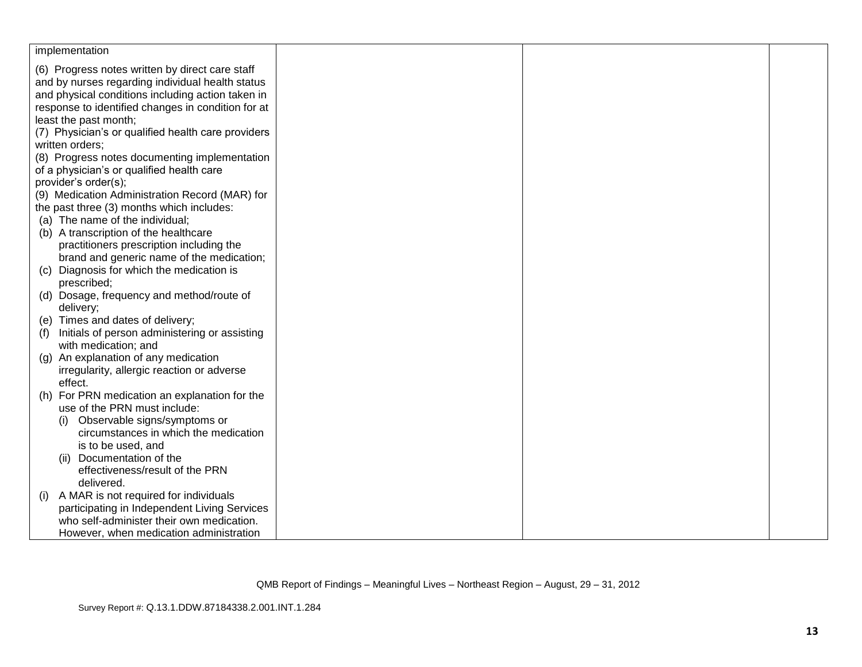| implementation                                       |  |  |
|------------------------------------------------------|--|--|
| (6) Progress notes written by direct care staff      |  |  |
| and by nurses regarding individual health status     |  |  |
| and physical conditions including action taken in    |  |  |
| response to identified changes in condition for at   |  |  |
| least the past month;                                |  |  |
| (7) Physician's or qualified health care providers   |  |  |
| written orders;                                      |  |  |
| (8) Progress notes documenting implementation        |  |  |
| of a physician's or qualified health care            |  |  |
| provider's order(s);                                 |  |  |
| (9) Medication Administration Record (MAR) for       |  |  |
| the past three (3) months which includes:            |  |  |
| (a) The name of the individual;                      |  |  |
| (b) A transcription of the healthcare                |  |  |
| practitioners prescription including the             |  |  |
| brand and generic name of the medication;            |  |  |
| Diagnosis for which the medication is<br>(C)         |  |  |
| prescribed;                                          |  |  |
| (d) Dosage, frequency and method/route of            |  |  |
| delivery;                                            |  |  |
| (e) Times and dates of delivery;                     |  |  |
| Initials of person administering or assisting<br>(f) |  |  |
| with medication; and                                 |  |  |
| An explanation of any medication<br>(g)              |  |  |
| irregularity, allergic reaction or adverse           |  |  |
| effect.                                              |  |  |
| (h) For PRN medication an explanation for the        |  |  |
| use of the PRN must include:                         |  |  |
| Observable signs/symptoms or<br>(i)                  |  |  |
| circumstances in which the medication                |  |  |
| is to be used, and                                   |  |  |
| Documentation of the<br>(ii)                         |  |  |
| effectiveness/result of the PRN                      |  |  |
| delivered.                                           |  |  |
| A MAR is not required for individuals<br>(1)         |  |  |
| participating in Independent Living Services         |  |  |
| who self-administer their own medication.            |  |  |
| However, when medication administration              |  |  |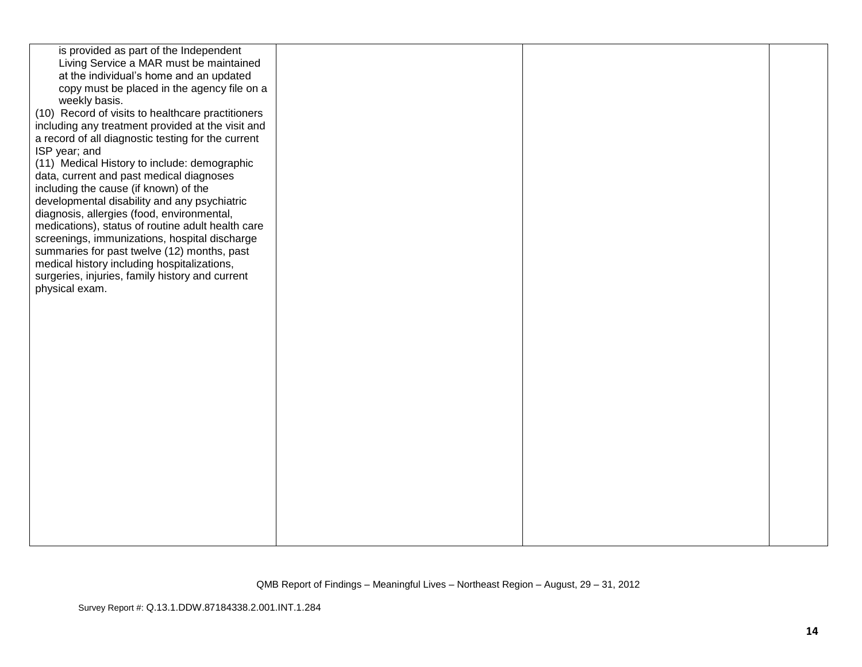| is provided as part of the Independent             |  |  |
|----------------------------------------------------|--|--|
| Living Service a MAR must be maintained            |  |  |
| at the individual's home and an updated            |  |  |
| copy must be placed in the agency file on a        |  |  |
| weekly basis.                                      |  |  |
| (10) Record of visits to healthcare practitioners  |  |  |
| including any treatment provided at the visit and  |  |  |
| a record of all diagnostic testing for the current |  |  |
| ISP year; and                                      |  |  |
| (11) Medical History to include: demographic       |  |  |
| data, current and past medical diagnoses           |  |  |
| including the cause (if known) of the              |  |  |
| developmental disability and any psychiatric       |  |  |
| diagnosis, allergies (food, environmental,         |  |  |
| medications), status of routine adult health care  |  |  |
| screenings, immunizations, hospital discharge      |  |  |
| summaries for past twelve (12) months, past        |  |  |
| medical history including hospitalizations,        |  |  |
| surgeries, injuries, family history and current    |  |  |
| physical exam.                                     |  |  |
|                                                    |  |  |
|                                                    |  |  |
|                                                    |  |  |
|                                                    |  |  |
|                                                    |  |  |
|                                                    |  |  |
|                                                    |  |  |
|                                                    |  |  |
|                                                    |  |  |
|                                                    |  |  |
|                                                    |  |  |
|                                                    |  |  |
|                                                    |  |  |
|                                                    |  |  |
|                                                    |  |  |
|                                                    |  |  |
|                                                    |  |  |
|                                                    |  |  |
|                                                    |  |  |
|                                                    |  |  |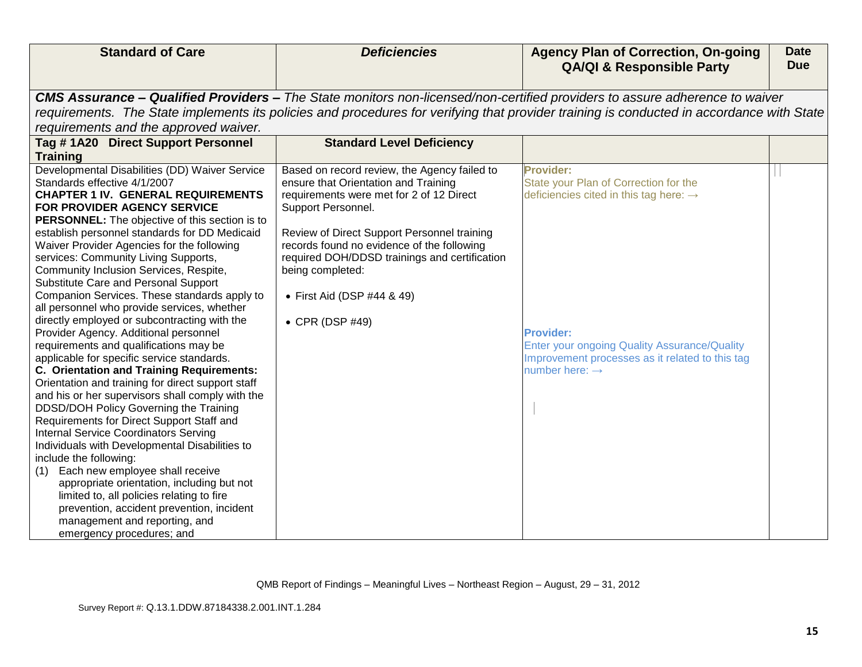| <b>Standard of Care</b>                                                        | <b>Deficiencies</b>                                                                         | <b>Agency Plan of Correction, On-going</b><br><b>QA/QI &amp; Responsible Party</b>                                                        | <b>Date</b><br><b>Due</b> |
|--------------------------------------------------------------------------------|---------------------------------------------------------------------------------------------|-------------------------------------------------------------------------------------------------------------------------------------------|---------------------------|
|                                                                                |                                                                                             |                                                                                                                                           |                           |
|                                                                                |                                                                                             | <b>CMS Assurance – Qualified Providers –</b> The State monitors non-licensed/non-certified providers to assure adherence to waiver        |                           |
|                                                                                |                                                                                             | requirements. The State implements its policies and procedures for verifying that provider training is conducted in accordance with State |                           |
| requirements and the approved waiver.                                          |                                                                                             |                                                                                                                                           |                           |
| Tag #1A20 Direct Support Personnel                                             | <b>Standard Level Deficiency</b>                                                            |                                                                                                                                           |                           |
| <b>Training</b>                                                                |                                                                                             |                                                                                                                                           |                           |
| Developmental Disabilities (DD) Waiver Service                                 | Based on record review, the Agency failed to                                                | <b>Provider:</b>                                                                                                                          |                           |
| Standards effective 4/1/2007                                                   | ensure that Orientation and Training                                                        | State your Plan of Correction for the                                                                                                     |                           |
| <b>CHAPTER 1 IV. GENERAL REQUIREMENTS</b>                                      | requirements were met for 2 of 12 Direct                                                    | deficiencies cited in this tag here: $\rightarrow$                                                                                        |                           |
| FOR PROVIDER AGENCY SERVICE                                                    | Support Personnel.                                                                          |                                                                                                                                           |                           |
| <b>PERSONNEL:</b> The objective of this section is to                          |                                                                                             |                                                                                                                                           |                           |
| establish personnel standards for DD Medicaid                                  | Review of Direct Support Personnel training                                                 |                                                                                                                                           |                           |
| Waiver Provider Agencies for the following                                     | records found no evidence of the following<br>required DOH/DDSD trainings and certification |                                                                                                                                           |                           |
| services: Community Living Supports,<br>Community Inclusion Services, Respite, | being completed:                                                                            |                                                                                                                                           |                           |
| Substitute Care and Personal Support                                           |                                                                                             |                                                                                                                                           |                           |
| Companion Services. These standards apply to                                   | • First Aid (DSP #44 & 49)                                                                  |                                                                                                                                           |                           |
| all personnel who provide services, whether                                    |                                                                                             |                                                                                                                                           |                           |
| directly employed or subcontracting with the                                   | • CPR (DSP #49)                                                                             |                                                                                                                                           |                           |
| Provider Agency. Additional personnel                                          |                                                                                             | <b>Provider:</b>                                                                                                                          |                           |
| requirements and qualifications may be                                         |                                                                                             | <b>Enter your ongoing Quality Assurance/Quality</b>                                                                                       |                           |
| applicable for specific service standards.                                     |                                                                                             | Improvement processes as it related to this tag                                                                                           |                           |
| C. Orientation and Training Requirements:                                      |                                                                                             | number here: $\rightarrow$                                                                                                                |                           |
| Orientation and training for direct support staff                              |                                                                                             |                                                                                                                                           |                           |
| and his or her supervisors shall comply with the                               |                                                                                             |                                                                                                                                           |                           |
| DDSD/DOH Policy Governing the Training                                         |                                                                                             |                                                                                                                                           |                           |
| Requirements for Direct Support Staff and                                      |                                                                                             |                                                                                                                                           |                           |
| <b>Internal Service Coordinators Serving</b>                                   |                                                                                             |                                                                                                                                           |                           |
| Individuals with Developmental Disabilities to                                 |                                                                                             |                                                                                                                                           |                           |
| include the following:                                                         |                                                                                             |                                                                                                                                           |                           |
| Each new employee shall receive<br>(1)                                         |                                                                                             |                                                                                                                                           |                           |
| appropriate orientation, including but not                                     |                                                                                             |                                                                                                                                           |                           |
| limited to, all policies relating to fire                                      |                                                                                             |                                                                                                                                           |                           |
| prevention, accident prevention, incident                                      |                                                                                             |                                                                                                                                           |                           |
| management and reporting, and                                                  |                                                                                             |                                                                                                                                           |                           |
| emergency procedures; and                                                      |                                                                                             |                                                                                                                                           |                           |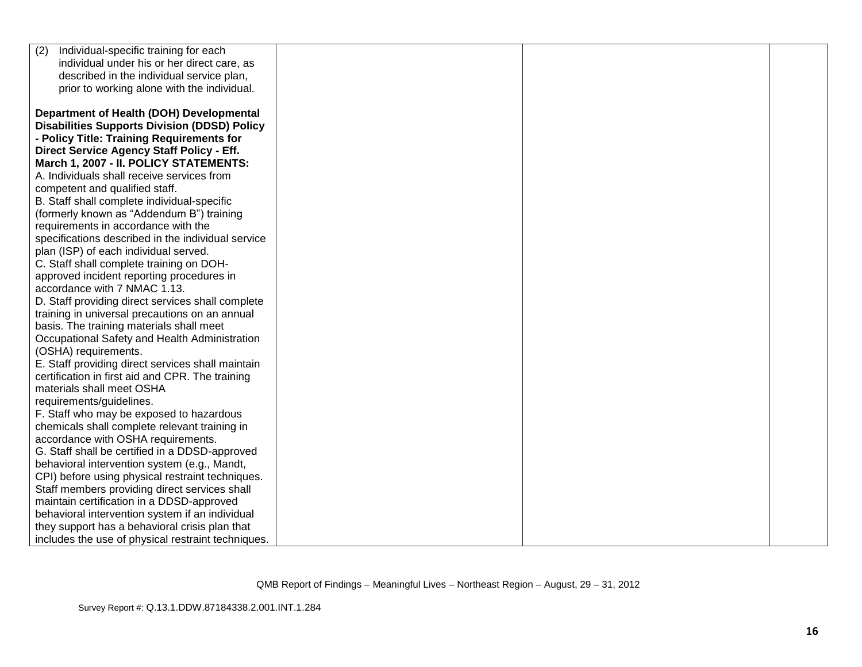| Individual-specific training for each<br>(2)        |  |  |
|-----------------------------------------------------|--|--|
| individual under his or her direct care, as         |  |  |
| described in the individual service plan,           |  |  |
| prior to working alone with the individual.         |  |  |
|                                                     |  |  |
| Department of Health (DOH) Developmental            |  |  |
| <b>Disabilities Supports Division (DDSD) Policy</b> |  |  |
| - Policy Title: Training Requirements for           |  |  |
| Direct Service Agency Staff Policy - Eff.           |  |  |
| March 1, 2007 - II. POLICY STATEMENTS:              |  |  |
| A. Individuals shall receive services from          |  |  |
| competent and qualified staff.                      |  |  |
| B. Staff shall complete individual-specific         |  |  |
| (formerly known as "Addendum B") training           |  |  |
| requirements in accordance with the                 |  |  |
| specifications described in the individual service  |  |  |
| plan (ISP) of each individual served.               |  |  |
| C. Staff shall complete training on DOH-            |  |  |
| approved incident reporting procedures in           |  |  |
| accordance with 7 NMAC 1.13.                        |  |  |
| D. Staff providing direct services shall complete   |  |  |
| training in universal precautions on an annual      |  |  |
| basis. The training materials shall meet            |  |  |
| Occupational Safety and Health Administration       |  |  |
| (OSHA) requirements.                                |  |  |
| E. Staff providing direct services shall maintain   |  |  |
| certification in first aid and CPR. The training    |  |  |
| materials shall meet OSHA                           |  |  |
| requirements/guidelines.                            |  |  |
| F. Staff who may be exposed to hazardous            |  |  |
| chemicals shall complete relevant training in       |  |  |
| accordance with OSHA requirements.                  |  |  |
| G. Staff shall be certified in a DDSD-approved      |  |  |
| behavioral intervention system (e.g., Mandt,        |  |  |
| CPI) before using physical restraint techniques.    |  |  |
| Staff members providing direct services shall       |  |  |
| maintain certification in a DDSD-approved           |  |  |
| behavioral intervention system if an individual     |  |  |
| they support has a behavioral crisis plan that      |  |  |
| includes the use of physical restraint techniques.  |  |  |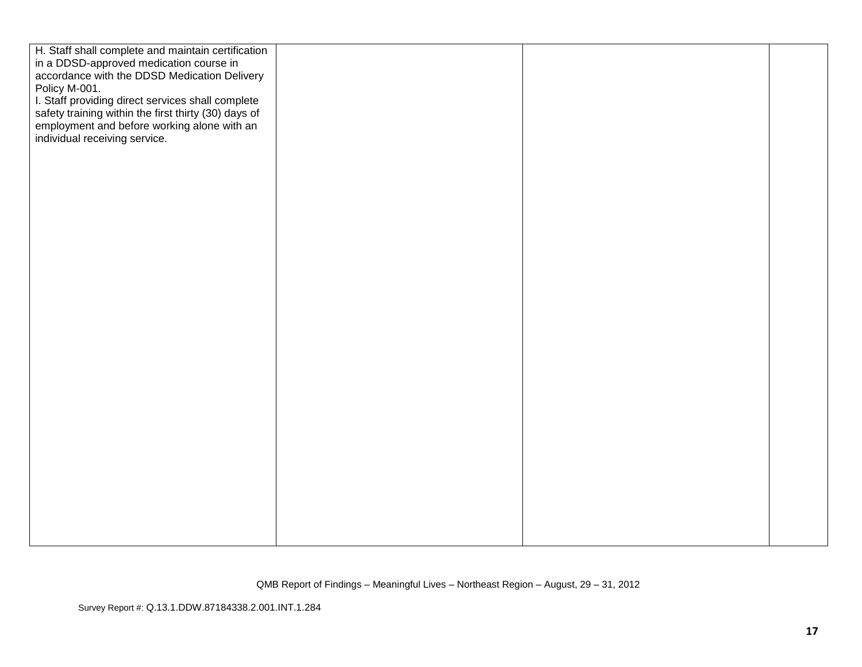| H. Staff shall complete and maintain certification   |  |  |
|------------------------------------------------------|--|--|
| in a DDSD-approved medication course in              |  |  |
| accordance with the DDSD Medication Delivery         |  |  |
| Policy M-001.                                        |  |  |
| I. Staff providing direct services shall complete    |  |  |
| safety training within the first thirty (30) days of |  |  |
| employment and before working alone with an          |  |  |
| individual receiving service.                        |  |  |
|                                                      |  |  |
|                                                      |  |  |
|                                                      |  |  |
|                                                      |  |  |
|                                                      |  |  |
|                                                      |  |  |
|                                                      |  |  |
|                                                      |  |  |
|                                                      |  |  |
|                                                      |  |  |
|                                                      |  |  |
|                                                      |  |  |
|                                                      |  |  |
|                                                      |  |  |
|                                                      |  |  |
|                                                      |  |  |
|                                                      |  |  |
|                                                      |  |  |
|                                                      |  |  |
|                                                      |  |  |
|                                                      |  |  |
|                                                      |  |  |
|                                                      |  |  |
|                                                      |  |  |
|                                                      |  |  |
|                                                      |  |  |
|                                                      |  |  |
|                                                      |  |  |
|                                                      |  |  |
|                                                      |  |  |
|                                                      |  |  |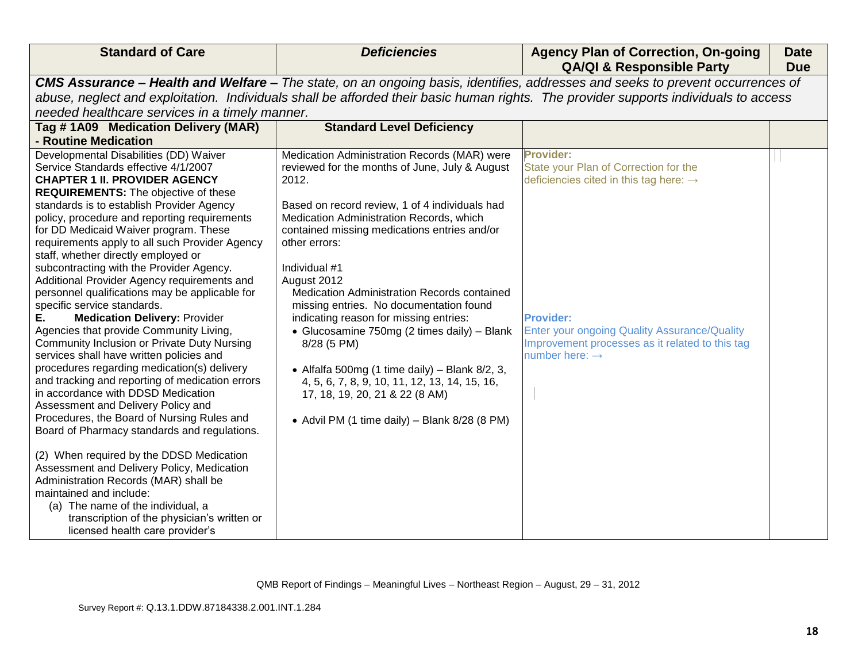| <b>Standard of Care</b>                                                                                                                                                                                                                                                                                                                                                                                                                                                                                                                                                                                                                                                                                                                                                                                                                                                                                                                                                                                                                                                                                                                                                                                                                                                                                                               | <b>Deficiencies</b>                                                                                                                                                                                                                                                                                                                                                                                                                                                                                                                                                                                                                                                                                      | <b>Agency Plan of Correction, On-going</b><br><b>QA/QI &amp; Responsible Party</b>                                                                                                                                                                                          | <b>Date</b><br><b>Due</b> |
|---------------------------------------------------------------------------------------------------------------------------------------------------------------------------------------------------------------------------------------------------------------------------------------------------------------------------------------------------------------------------------------------------------------------------------------------------------------------------------------------------------------------------------------------------------------------------------------------------------------------------------------------------------------------------------------------------------------------------------------------------------------------------------------------------------------------------------------------------------------------------------------------------------------------------------------------------------------------------------------------------------------------------------------------------------------------------------------------------------------------------------------------------------------------------------------------------------------------------------------------------------------------------------------------------------------------------------------|----------------------------------------------------------------------------------------------------------------------------------------------------------------------------------------------------------------------------------------------------------------------------------------------------------------------------------------------------------------------------------------------------------------------------------------------------------------------------------------------------------------------------------------------------------------------------------------------------------------------------------------------------------------------------------------------------------|-----------------------------------------------------------------------------------------------------------------------------------------------------------------------------------------------------------------------------------------------------------------------------|---------------------------|
| CMS Assurance - Health and Welfare - The state, on an ongoing basis, identifies, addresses and seeks to prevent occurrences of<br>abuse, neglect and exploitation. Individuals shall be afforded their basic human rights. The provider supports individuals to access<br>needed healthcare services in a timely manner.                                                                                                                                                                                                                                                                                                                                                                                                                                                                                                                                                                                                                                                                                                                                                                                                                                                                                                                                                                                                              |                                                                                                                                                                                                                                                                                                                                                                                                                                                                                                                                                                                                                                                                                                          |                                                                                                                                                                                                                                                                             |                           |
| Tag #1A09 Medication Delivery (MAR)<br>- Routine Medication                                                                                                                                                                                                                                                                                                                                                                                                                                                                                                                                                                                                                                                                                                                                                                                                                                                                                                                                                                                                                                                                                                                                                                                                                                                                           | <b>Standard Level Deficiency</b>                                                                                                                                                                                                                                                                                                                                                                                                                                                                                                                                                                                                                                                                         |                                                                                                                                                                                                                                                                             |                           |
| Developmental Disabilities (DD) Waiver<br>Service Standards effective 4/1/2007<br><b>CHAPTER 1 II. PROVIDER AGENCY</b><br><b>REQUIREMENTS:</b> The objective of these<br>standards is to establish Provider Agency<br>policy, procedure and reporting requirements<br>for DD Medicaid Waiver program. These<br>requirements apply to all such Provider Agency<br>staff, whether directly employed or<br>subcontracting with the Provider Agency.<br>Additional Provider Agency requirements and<br>personnel qualifications may be applicable for<br>specific service standards.<br><b>Medication Delivery: Provider</b><br>Е.<br>Agencies that provide Community Living,<br>Community Inclusion or Private Duty Nursing<br>services shall have written policies and<br>procedures regarding medication(s) delivery<br>and tracking and reporting of medication errors<br>in accordance with DDSD Medication<br>Assessment and Delivery Policy and<br>Procedures, the Board of Nursing Rules and<br>Board of Pharmacy standards and regulations.<br>(2) When required by the DDSD Medication<br>Assessment and Delivery Policy, Medication<br>Administration Records (MAR) shall be<br>maintained and include:<br>(a) The name of the individual, a<br>transcription of the physician's written or<br>licensed health care provider's | Medication Administration Records (MAR) were<br>reviewed for the months of June, July & August<br>2012.<br>Based on record review, 1 of 4 individuals had<br>Medication Administration Records, which<br>contained missing medications entries and/or<br>other errors:<br>Individual #1<br>August 2012<br><b>Medication Administration Records contained</b><br>missing entries. No documentation found<br>indicating reason for missing entries:<br>• Glucosamine 750mg (2 times daily) - Blank<br>8/28 (5 PM)<br>• Alfalfa 500mg (1 time daily) – Blank $8/2$ , 3,<br>4, 5, 6, 7, 8, 9, 10, 11, 12, 13, 14, 15, 16,<br>17, 18, 19, 20, 21 & 22 (8 AM)<br>• Advil PM (1 time daily) - Blank 8/28 (8 PM) | <b>Provider:</b><br>State your Plan of Correction for the<br>deficiencies cited in this tag here: $\rightarrow$<br><b>Provider:</b><br><b>Enter your ongoing Quality Assurance/Quality</b><br>Improvement processes as it related to this tag<br>number here: $\rightarrow$ |                           |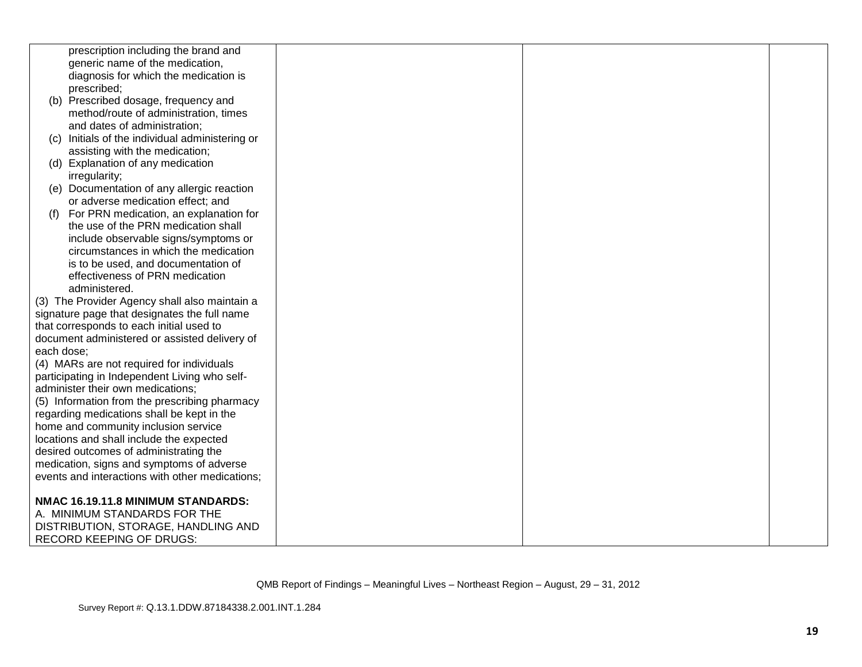|            | prescription including the brand and            |  |  |
|------------|-------------------------------------------------|--|--|
|            | generic name of the medication,                 |  |  |
|            | diagnosis for which the medication is           |  |  |
|            | prescribed;                                     |  |  |
|            | (b) Prescribed dosage, frequency and            |  |  |
|            | method/route of administration, times           |  |  |
|            | and dates of administration;                    |  |  |
|            | (c) Initials of the individual administering or |  |  |
|            | assisting with the medication;                  |  |  |
|            | (d) Explanation of any medication               |  |  |
|            | irregularity;                                   |  |  |
|            | (e) Documentation of any allergic reaction      |  |  |
|            | or adverse medication effect; and               |  |  |
| (f)        | For PRN medication, an explanation for          |  |  |
|            | the use of the PRN medication shall             |  |  |
|            | include observable signs/symptoms or            |  |  |
|            | circumstances in which the medication           |  |  |
|            | is to be used, and documentation of             |  |  |
|            | effectiveness of PRN medication                 |  |  |
|            | administered.                                   |  |  |
|            | (3) The Provider Agency shall also maintain a   |  |  |
|            | signature page that designates the full name    |  |  |
|            | that corresponds to each initial used to        |  |  |
|            | document administered or assisted delivery of   |  |  |
| each dose; |                                                 |  |  |
|            | (4) MARs are not required for individuals       |  |  |
|            | participating in Independent Living who self-   |  |  |
|            | administer their own medications;               |  |  |
|            | (5) Information from the prescribing pharmacy   |  |  |
|            | regarding medications shall be kept in the      |  |  |
|            | home and community inclusion service            |  |  |
|            | locations and shall include the expected        |  |  |
|            | desired outcomes of administrating the          |  |  |
|            | medication, signs and symptoms of adverse       |  |  |
|            | events and interactions with other medications; |  |  |
|            |                                                 |  |  |
|            | NMAC 16.19.11.8 MINIMUM STANDARDS:              |  |  |
|            | A. MINIMUM STANDARDS FOR THE                    |  |  |
|            | DISTRIBUTION, STORAGE, HANDLING AND             |  |  |
|            | <b>RECORD KEEPING OF DRUGS:</b>                 |  |  |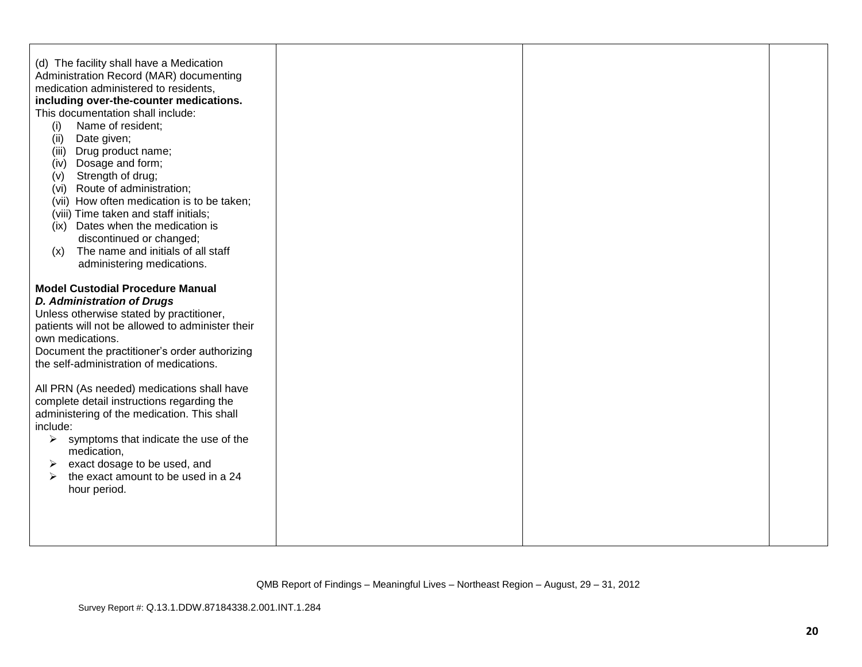| (d) The facility shall have a Medication<br>Administration Record (MAR) documenting<br>medication administered to residents,<br>including over-the-counter medications.<br>This documentation shall include:<br>Name of resident;<br>(i)<br>Date given;<br>(ii)<br>Drug product name;<br>(iii)<br>Dosage and form;<br>(iv)<br>Strength of drug;<br>(v)<br>(vi) Route of administration;<br>(vii) How often medication is to be taken;<br>(viii) Time taken and staff initials;<br>(ix) Dates when the medication is<br>discontinued or changed;<br>The name and initials of all staff<br>(x)<br>administering medications. |  |  |
|----------------------------------------------------------------------------------------------------------------------------------------------------------------------------------------------------------------------------------------------------------------------------------------------------------------------------------------------------------------------------------------------------------------------------------------------------------------------------------------------------------------------------------------------------------------------------------------------------------------------------|--|--|
| <b>Model Custodial Procedure Manual</b><br><b>D. Administration of Drugs</b><br>Unless otherwise stated by practitioner,<br>patients will not be allowed to administer their<br>own medications.<br>Document the practitioner's order authorizing<br>the self-administration of medications.                                                                                                                                                                                                                                                                                                                               |  |  |
| All PRN (As needed) medications shall have<br>complete detail instructions regarding the<br>administering of the medication. This shall<br>include:<br>$\triangleright$ symptoms that indicate the use of the<br>medication,<br>exact dosage to be used, and<br>➤<br>the exact amount to be used in a 24<br>➤<br>hour period.                                                                                                                                                                                                                                                                                              |  |  |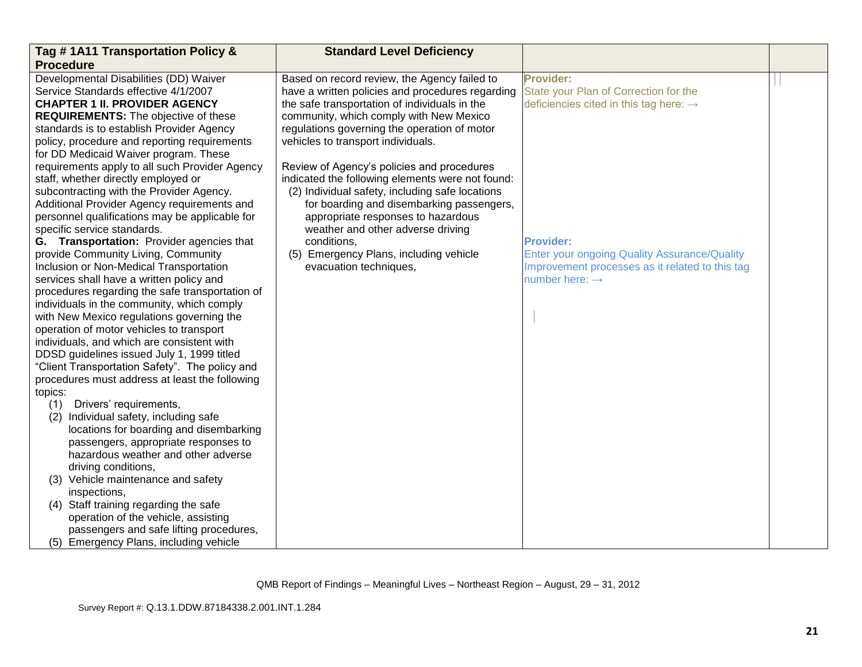| Tag #1A11 Transportation Policy &                                             | <b>Standard Level Deficiency</b>                 |                                                     |  |
|-------------------------------------------------------------------------------|--------------------------------------------------|-----------------------------------------------------|--|
| <b>Procedure</b>                                                              |                                                  |                                                     |  |
| Developmental Disabilities (DD) Waiver                                        | Based on record review, the Agency failed to     | <b>Provider:</b>                                    |  |
| Service Standards effective 4/1/2007                                          | have a written policies and procedures regarding | State your Plan of Correction for the               |  |
| <b>CHAPTER 1 II. PROVIDER AGENCY</b>                                          | the safe transportation of individuals in the    | deficiencies cited in this tag here: $\rightarrow$  |  |
| <b>REQUIREMENTS:</b> The objective of these                                   | community, which comply with New Mexico          |                                                     |  |
| standards is to establish Provider Agency                                     | regulations governing the operation of motor     |                                                     |  |
| policy, procedure and reporting requirements                                  | vehicles to transport individuals.               |                                                     |  |
| for DD Medicaid Waiver program. These                                         |                                                  |                                                     |  |
| requirements apply to all such Provider Agency                                | Review of Agency's policies and procedures       |                                                     |  |
| staff, whether directly employed or                                           | indicated the following elements were not found: |                                                     |  |
| subcontracting with the Provider Agency.                                      | (2) Individual safety, including safe locations  |                                                     |  |
| Additional Provider Agency requirements and                                   | for boarding and disembarking passengers,        |                                                     |  |
| personnel qualifications may be applicable for<br>specific service standards. | appropriate responses to hazardous               |                                                     |  |
| G. Transportation: Provider agencies that                                     | weather and other adverse driving<br>conditions, | <b>Provider:</b>                                    |  |
| provide Community Living, Community                                           | (5) Emergency Plans, including vehicle           | <b>Enter your ongoing Quality Assurance/Quality</b> |  |
| Inclusion or Non-Medical Transportation                                       | evacuation techniques,                           | Improvement processes as it related to this tag     |  |
| services shall have a written policy and                                      |                                                  | number here: $\rightarrow$                          |  |
| procedures regarding the safe transportation of                               |                                                  |                                                     |  |
| individuals in the community, which comply                                    |                                                  |                                                     |  |
| with New Mexico regulations governing the                                     |                                                  |                                                     |  |
| operation of motor vehicles to transport                                      |                                                  |                                                     |  |
| individuals, and which are consistent with                                    |                                                  |                                                     |  |
| DDSD guidelines issued July 1, 1999 titled                                    |                                                  |                                                     |  |
| "Client Transportation Safety". The policy and                                |                                                  |                                                     |  |
| procedures must address at least the following                                |                                                  |                                                     |  |
| topics:                                                                       |                                                  |                                                     |  |
| Drivers' requirements,<br>(1)                                                 |                                                  |                                                     |  |
| Individual safety, including safe<br>(2)                                      |                                                  |                                                     |  |
| locations for boarding and disembarking                                       |                                                  |                                                     |  |
| passengers, appropriate responses to                                          |                                                  |                                                     |  |
| hazardous weather and other adverse                                           |                                                  |                                                     |  |
| driving conditions,<br>Vehicle maintenance and safety<br>(3)                  |                                                  |                                                     |  |
| inspections,                                                                  |                                                  |                                                     |  |
| (4) Staff training regarding the safe                                         |                                                  |                                                     |  |
| operation of the vehicle, assisting                                           |                                                  |                                                     |  |
| passengers and safe lifting procedures,                                       |                                                  |                                                     |  |
| (5) Emergency Plans, including vehicle                                        |                                                  |                                                     |  |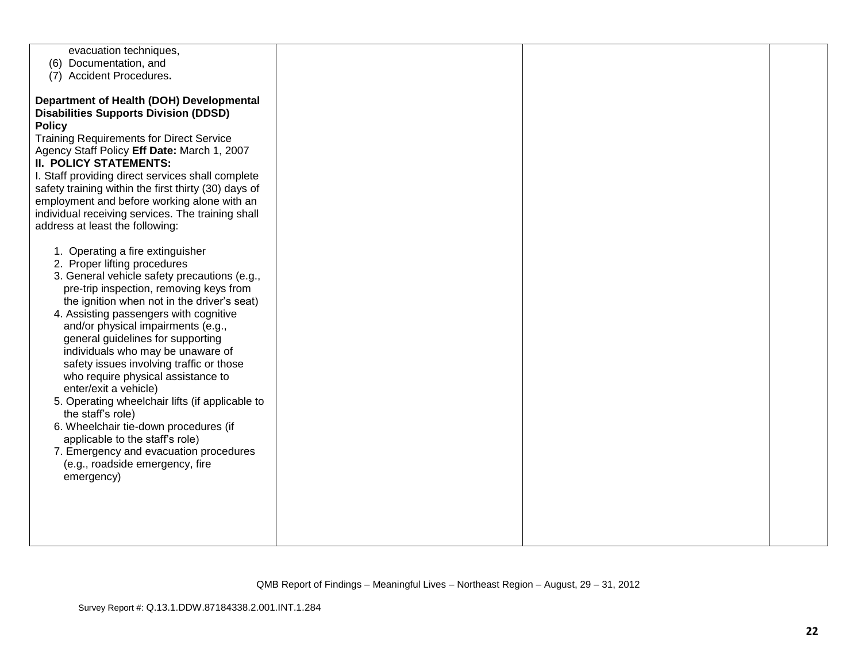| evacuation techniques,                               |  |  |
|------------------------------------------------------|--|--|
| (6) Documentation, and                               |  |  |
| (7) Accident Procedures.                             |  |  |
|                                                      |  |  |
|                                                      |  |  |
| Department of Health (DOH) Developmental             |  |  |
| <b>Disabilities Supports Division (DDSD)</b>         |  |  |
| <b>Policy</b>                                        |  |  |
| <b>Training Requirements for Direct Service</b>      |  |  |
| Agency Staff Policy Eff Date: March 1, 2007          |  |  |
| <b>II. POLICY STATEMENTS:</b>                        |  |  |
|                                                      |  |  |
| I. Staff providing direct services shall complete    |  |  |
| safety training within the first thirty (30) days of |  |  |
| employment and before working alone with an          |  |  |
| individual receiving services. The training shall    |  |  |
| address at least the following:                      |  |  |
|                                                      |  |  |
| 1. Operating a fire extinguisher                     |  |  |
| 2. Proper lifting procedures                         |  |  |
|                                                      |  |  |
| 3. General vehicle safety precautions (e.g.,         |  |  |
| pre-trip inspection, removing keys from              |  |  |
| the ignition when not in the driver's seat)          |  |  |
| 4. Assisting passengers with cognitive               |  |  |
| and/or physical impairments (e.g.,                   |  |  |
| general guidelines for supporting                    |  |  |
| individuals who may be unaware of                    |  |  |
| safety issues involving traffic or those             |  |  |
| who require physical assistance to                   |  |  |
|                                                      |  |  |
| enter/exit a vehicle)                                |  |  |
| 5. Operating wheelchair lifts (if applicable to      |  |  |
| the staff's role)                                    |  |  |
| 6. Wheelchair tie-down procedures (if                |  |  |
| applicable to the staff's role)                      |  |  |
| 7. Emergency and evacuation procedures               |  |  |
| (e.g., roadside emergency, fire                      |  |  |
| emergency)                                           |  |  |
|                                                      |  |  |
|                                                      |  |  |
|                                                      |  |  |
|                                                      |  |  |
|                                                      |  |  |
|                                                      |  |  |
|                                                      |  |  |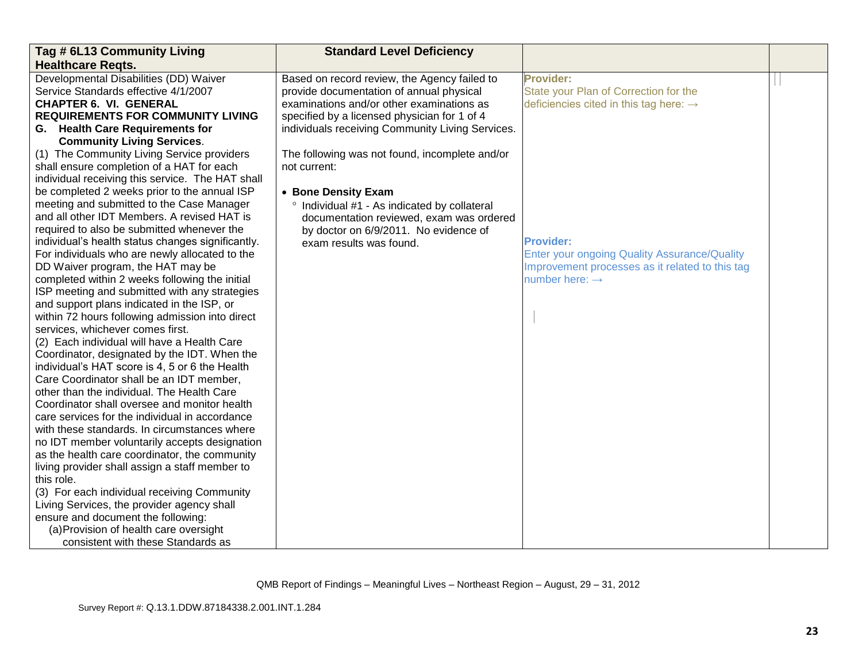| Tag # 6L13 Community Living                       | <b>Standard Level Deficiency</b>                 |                                                    |  |
|---------------------------------------------------|--------------------------------------------------|----------------------------------------------------|--|
| <b>Healthcare Regts.</b>                          |                                                  |                                                    |  |
| Developmental Disabilities (DD) Waiver            | Based on record review, the Agency failed to     | <b>Provider:</b>                                   |  |
| Service Standards effective 4/1/2007              | provide documentation of annual physical         | State your Plan of Correction for the              |  |
| <b>CHAPTER 6. VI. GENERAL</b>                     | examinations and/or other examinations as        | deficiencies cited in this tag here: $\rightarrow$ |  |
| <b>REQUIREMENTS FOR COMMUNITY LIVING</b>          | specified by a licensed physician for 1 of 4     |                                                    |  |
| G. Health Care Requirements for                   | individuals receiving Community Living Services. |                                                    |  |
| <b>Community Living Services.</b>                 |                                                  |                                                    |  |
| (1) The Community Living Service providers        | The following was not found, incomplete and/or   |                                                    |  |
| shall ensure completion of a HAT for each         | not current:                                     |                                                    |  |
| individual receiving this service. The HAT shall  |                                                  |                                                    |  |
| be completed 2 weeks prior to the annual ISP      | • Bone Density Exam                              |                                                    |  |
| meeting and submitted to the Case Manager         | ° Individual #1 - As indicated by collateral     |                                                    |  |
| and all other IDT Members. A revised HAT is       | documentation reviewed, exam was ordered         |                                                    |  |
| required to also be submitted whenever the        | by doctor on 6/9/2011. No evidence of            |                                                    |  |
| individual's health status changes significantly. | exam results was found.                          | <b>Provider:</b>                                   |  |
| For individuals who are newly allocated to the    |                                                  | Enter your ongoing Quality Assurance/Quality       |  |
| DD Waiver program, the HAT may be                 |                                                  | Improvement processes as it related to this tag    |  |
| completed within 2 weeks following the initial    |                                                  | number here: $\rightarrow$                         |  |
| ISP meeting and submitted with any strategies     |                                                  |                                                    |  |
| and support plans indicated in the ISP, or        |                                                  |                                                    |  |
| within 72 hours following admission into direct   |                                                  |                                                    |  |
| services, whichever comes first.                  |                                                  |                                                    |  |
| (2) Each individual will have a Health Care       |                                                  |                                                    |  |
| Coordinator, designated by the IDT. When the      |                                                  |                                                    |  |
| individual's HAT score is 4, 5 or 6 the Health    |                                                  |                                                    |  |
| Care Coordinator shall be an IDT member,          |                                                  |                                                    |  |
| other than the individual. The Health Care        |                                                  |                                                    |  |
| Coordinator shall oversee and monitor health      |                                                  |                                                    |  |
| care services for the individual in accordance    |                                                  |                                                    |  |
| with these standards. In circumstances where      |                                                  |                                                    |  |
| no IDT member voluntarily accepts designation     |                                                  |                                                    |  |
| as the health care coordinator, the community     |                                                  |                                                    |  |
| living provider shall assign a staff member to    |                                                  |                                                    |  |
| this role.                                        |                                                  |                                                    |  |
| (3) For each individual receiving Community       |                                                  |                                                    |  |
| Living Services, the provider agency shall        |                                                  |                                                    |  |
| ensure and document the following:                |                                                  |                                                    |  |
| (a) Provision of health care oversight            |                                                  |                                                    |  |
| consistent with these Standards as                |                                                  |                                                    |  |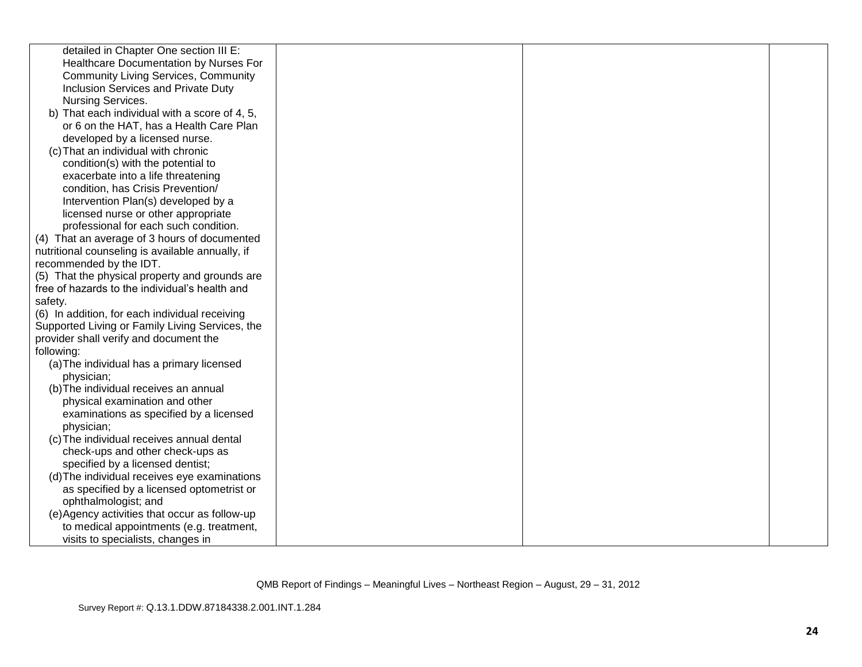| detailed in Chapter One section III E:           |  |  |
|--------------------------------------------------|--|--|
| Healthcare Documentation by Nurses For           |  |  |
| <b>Community Living Services, Community</b>      |  |  |
| Inclusion Services and Private Duty              |  |  |
| Nursing Services.                                |  |  |
| b) That each individual with a score of 4, 5,    |  |  |
| or 6 on the HAT, has a Health Care Plan          |  |  |
| developed by a licensed nurse.                   |  |  |
| (c) That an individual with chronic              |  |  |
| condition(s) with the potential to               |  |  |
| exacerbate into a life threatening               |  |  |
| condition, has Crisis Prevention/                |  |  |
| Intervention Plan(s) developed by a              |  |  |
| licensed nurse or other appropriate              |  |  |
| professional for each such condition.            |  |  |
| (4) That an average of 3 hours of documented     |  |  |
| nutritional counseling is available annually, if |  |  |
| recommended by the IDT.                          |  |  |
| (5) That the physical property and grounds are   |  |  |
| free of hazards to the individual's health and   |  |  |
| safety.                                          |  |  |
| (6) In addition, for each individual receiving   |  |  |
| Supported Living or Family Living Services, the  |  |  |
| provider shall verify and document the           |  |  |
| following:                                       |  |  |
| (a) The individual has a primary licensed        |  |  |
| physician;                                       |  |  |
| (b) The individual receives an annual            |  |  |
| physical examination and other                   |  |  |
| examinations as specified by a licensed          |  |  |
| physician;                                       |  |  |
| (c) The individual receives annual dental        |  |  |
| check-ups and other check-ups as                 |  |  |
| specified by a licensed dentist;                 |  |  |
| (d) The individual receives eye examinations     |  |  |
| as specified by a licensed optometrist or        |  |  |
| ophthalmologist; and                             |  |  |
| (e) Agency activities that occur as follow-up    |  |  |
| to medical appointments (e.g. treatment,         |  |  |
| visits to specialists, changes in                |  |  |
|                                                  |  |  |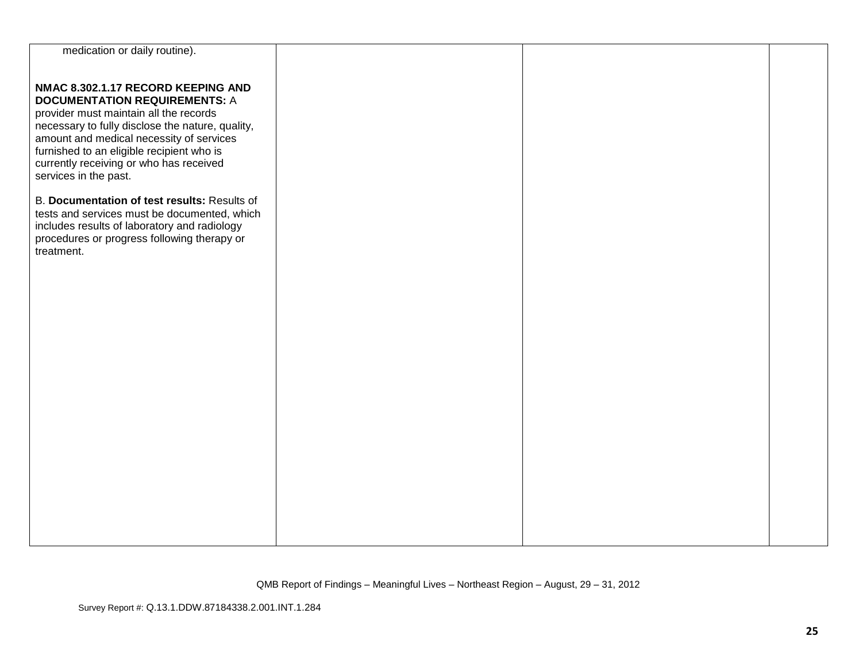| medication or daily routine).                                                        |  |  |
|--------------------------------------------------------------------------------------|--|--|
|                                                                                      |  |  |
|                                                                                      |  |  |
| NMAC 8.302.1.17 RECORD KEEPING AND                                                   |  |  |
| <b>DOCUMENTATION REQUIREMENTS: A</b>                                                 |  |  |
| provider must maintain all the records                                               |  |  |
| necessary to fully disclose the nature, quality,                                     |  |  |
| amount and medical necessity of services                                             |  |  |
| furnished to an eligible recipient who is<br>currently receiving or who has received |  |  |
| services in the past.                                                                |  |  |
|                                                                                      |  |  |
| B. Documentation of test results: Results of                                         |  |  |
| tests and services must be documented, which                                         |  |  |
| includes results of laboratory and radiology                                         |  |  |
| procedures or progress following therapy or                                          |  |  |
| treatment.                                                                           |  |  |
|                                                                                      |  |  |
|                                                                                      |  |  |
|                                                                                      |  |  |
|                                                                                      |  |  |
|                                                                                      |  |  |
|                                                                                      |  |  |
|                                                                                      |  |  |
|                                                                                      |  |  |
|                                                                                      |  |  |
|                                                                                      |  |  |
|                                                                                      |  |  |
|                                                                                      |  |  |
|                                                                                      |  |  |
|                                                                                      |  |  |
|                                                                                      |  |  |
|                                                                                      |  |  |
|                                                                                      |  |  |
|                                                                                      |  |  |
|                                                                                      |  |  |
|                                                                                      |  |  |
|                                                                                      |  |  |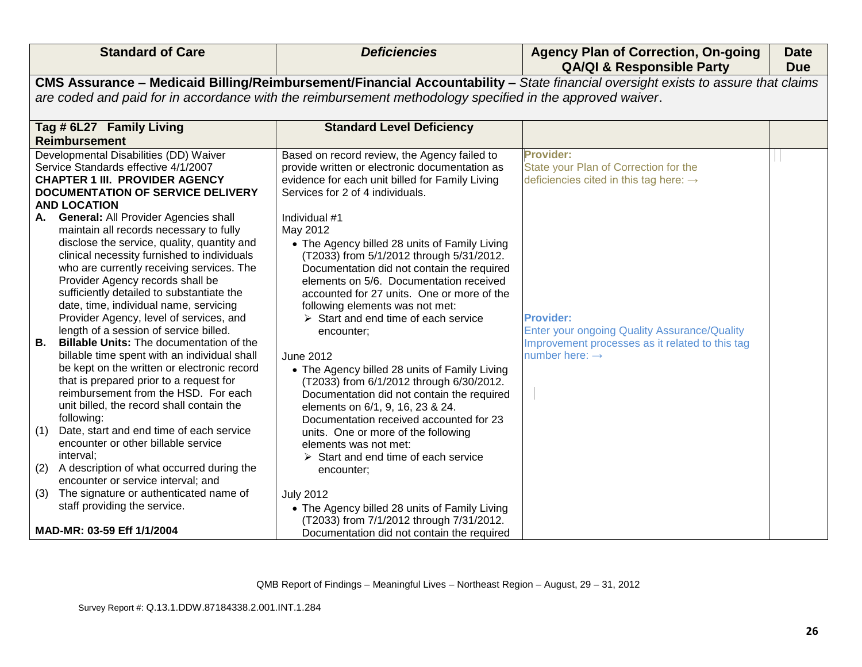| <b>Standard of Care</b>                                                                                                                                                                                                                                                                                                                                                                                                                                                                                                                                                                                                                                       | <b>Deficiencies</b>                                                                                                                                                                                                                                                                                                                                                                                                                                                                                                                                                                    | <b>Agency Plan of Correction, On-going</b><br><b>QA/QI &amp; Responsible Party</b>                                                                       | <b>Date</b><br><b>Due</b> |
|---------------------------------------------------------------------------------------------------------------------------------------------------------------------------------------------------------------------------------------------------------------------------------------------------------------------------------------------------------------------------------------------------------------------------------------------------------------------------------------------------------------------------------------------------------------------------------------------------------------------------------------------------------------|----------------------------------------------------------------------------------------------------------------------------------------------------------------------------------------------------------------------------------------------------------------------------------------------------------------------------------------------------------------------------------------------------------------------------------------------------------------------------------------------------------------------------------------------------------------------------------------|----------------------------------------------------------------------------------------------------------------------------------------------------------|---------------------------|
|                                                                                                                                                                                                                                                                                                                                                                                                                                                                                                                                                                                                                                                               |                                                                                                                                                                                                                                                                                                                                                                                                                                                                                                                                                                                        | CMS Assurance - Medicaid Billing/Reimbursement/Financial Accountability - State financial oversight exists to assure that claims                         |                           |
|                                                                                                                                                                                                                                                                                                                                                                                                                                                                                                                                                                                                                                                               | are coded and paid for in accordance with the reimbursement methodology specified in the approved waiver.                                                                                                                                                                                                                                                                                                                                                                                                                                                                              |                                                                                                                                                          |                           |
| Tag # 6L27 Family Living                                                                                                                                                                                                                                                                                                                                                                                                                                                                                                                                                                                                                                      | <b>Standard Level Deficiency</b>                                                                                                                                                                                                                                                                                                                                                                                                                                                                                                                                                       |                                                                                                                                                          |                           |
| <b>Reimbursement</b>                                                                                                                                                                                                                                                                                                                                                                                                                                                                                                                                                                                                                                          |                                                                                                                                                                                                                                                                                                                                                                                                                                                                                                                                                                                        |                                                                                                                                                          |                           |
| Developmental Disabilities (DD) Waiver<br>Service Standards effective 4/1/2007<br><b>CHAPTER 1 III. PROVIDER AGENCY</b><br><b>DOCUMENTATION OF SERVICE DELIVERY</b><br><b>AND LOCATION</b><br>A. General: All Provider Agencies shall<br>maintain all records necessary to fully                                                                                                                                                                                                                                                                                                                                                                              | Based on record review, the Agency failed to<br>provide written or electronic documentation as<br>evidence for each unit billed for Family Living<br>Services for 2 of 4 individuals.<br>Individual #1<br>May 2012                                                                                                                                                                                                                                                                                                                                                                     | <b>Provider:</b><br>State your Plan of Correction for the<br>deficiencies cited in this tag here: $\rightarrow$                                          |                           |
| disclose the service, quality, quantity and<br>clinical necessity furnished to individuals<br>who are currently receiving services. The<br>Provider Agency records shall be<br>sufficiently detailed to substantiate the<br>date, time, individual name, servicing<br>Provider Agency, level of services, and<br>length of a session of service billed.<br><b>Billable Units: The documentation of the</b><br>В.<br>billable time spent with an individual shall<br>be kept on the written or electronic record<br>that is prepared prior to a request for<br>reimbursement from the HSD. For each<br>unit billed, the record shall contain the<br>following: | • The Agency billed 28 units of Family Living<br>(T2033) from 5/1/2012 through 5/31/2012.<br>Documentation did not contain the required<br>elements on 5/6. Documentation received<br>accounted for 27 units. One or more of the<br>following elements was not met:<br>$\triangleright$ Start and end time of each service<br>encounter;<br><b>June 2012</b><br>• The Agency billed 28 units of Family Living<br>(T2033) from 6/1/2012 through 6/30/2012.<br>Documentation did not contain the required<br>elements on 6/1, 9, 16, 23 & 24.<br>Documentation received accounted for 23 | <b>Provider:</b><br><b>Enter your ongoing Quality Assurance/Quality</b><br>Improvement processes as it related to this tag<br>number here: $\rightarrow$ |                           |
| Date, start and end time of each service<br>(1)<br>encounter or other billable service<br>interval;                                                                                                                                                                                                                                                                                                                                                                                                                                                                                                                                                           | units. One or more of the following<br>elements was not met:<br>$\triangleright$ Start and end time of each service                                                                                                                                                                                                                                                                                                                                                                                                                                                                    |                                                                                                                                                          |                           |
| (2)<br>A description of what occurred during the<br>encounter or service interval; and                                                                                                                                                                                                                                                                                                                                                                                                                                                                                                                                                                        | encounter;                                                                                                                                                                                                                                                                                                                                                                                                                                                                                                                                                                             |                                                                                                                                                          |                           |
| The signature or authenticated name of<br>(3)                                                                                                                                                                                                                                                                                                                                                                                                                                                                                                                                                                                                                 | <b>July 2012</b>                                                                                                                                                                                                                                                                                                                                                                                                                                                                                                                                                                       |                                                                                                                                                          |                           |
| staff providing the service.<br>MAD-MR: 03-59 Eff 1/1/2004                                                                                                                                                                                                                                                                                                                                                                                                                                                                                                                                                                                                    | • The Agency billed 28 units of Family Living<br>(T2033) from 7/1/2012 through 7/31/2012.<br>Documentation did not contain the required                                                                                                                                                                                                                                                                                                                                                                                                                                                |                                                                                                                                                          |                           |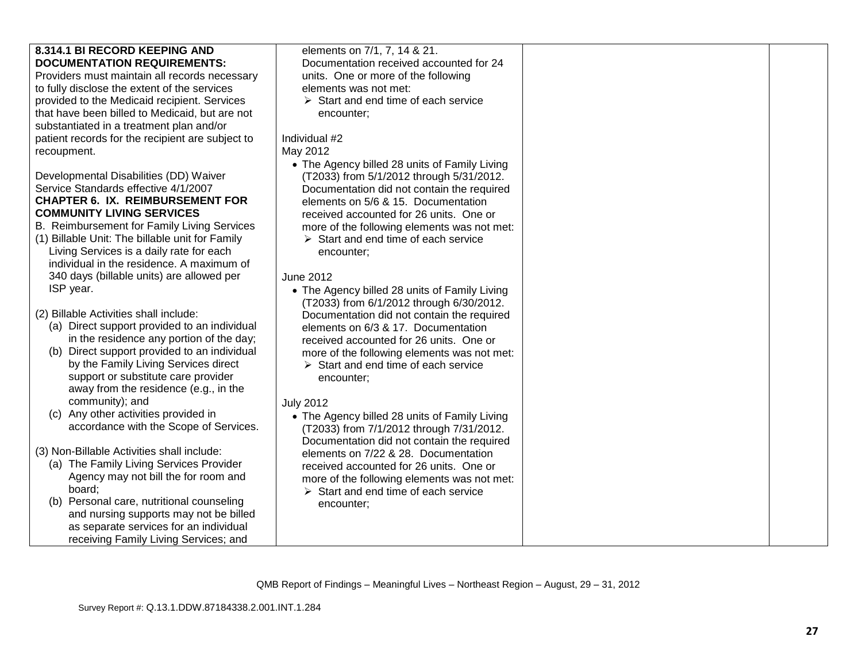| 8.314.1 BI RECORD KEEPING AND                                                                                                                                                                                                                                                                                                                                                                                          | elements on 7/1, 7, 14 & 21.                                                                                                                                                                                                                                                                                                                                       |  |
|------------------------------------------------------------------------------------------------------------------------------------------------------------------------------------------------------------------------------------------------------------------------------------------------------------------------------------------------------------------------------------------------------------------------|--------------------------------------------------------------------------------------------------------------------------------------------------------------------------------------------------------------------------------------------------------------------------------------------------------------------------------------------------------------------|--|
| <b>DOCUMENTATION REQUIREMENTS:</b>                                                                                                                                                                                                                                                                                                                                                                                     | Documentation received accounted for 24                                                                                                                                                                                                                                                                                                                            |  |
| Providers must maintain all records necessary                                                                                                                                                                                                                                                                                                                                                                          | units. One or more of the following                                                                                                                                                                                                                                                                                                                                |  |
| to fully disclose the extent of the services                                                                                                                                                                                                                                                                                                                                                                           | elements was not met:                                                                                                                                                                                                                                                                                                                                              |  |
| provided to the Medicaid recipient. Services                                                                                                                                                                                                                                                                                                                                                                           | $\triangleright$ Start and end time of each service                                                                                                                                                                                                                                                                                                                |  |
| that have been billed to Medicaid, but are not                                                                                                                                                                                                                                                                                                                                                                         | encounter;                                                                                                                                                                                                                                                                                                                                                         |  |
| substantiated in a treatment plan and/or                                                                                                                                                                                                                                                                                                                                                                               |                                                                                                                                                                                                                                                                                                                                                                    |  |
| patient records for the recipient are subject to                                                                                                                                                                                                                                                                                                                                                                       | Individual #2                                                                                                                                                                                                                                                                                                                                                      |  |
| recoupment.                                                                                                                                                                                                                                                                                                                                                                                                            | May 2012                                                                                                                                                                                                                                                                                                                                                           |  |
|                                                                                                                                                                                                                                                                                                                                                                                                                        | • The Agency billed 28 units of Family Living                                                                                                                                                                                                                                                                                                                      |  |
| Developmental Disabilities (DD) Waiver                                                                                                                                                                                                                                                                                                                                                                                 | (T2033) from 5/1/2012 through 5/31/2012.                                                                                                                                                                                                                                                                                                                           |  |
| Service Standards effective 4/1/2007                                                                                                                                                                                                                                                                                                                                                                                   | Documentation did not contain the required                                                                                                                                                                                                                                                                                                                         |  |
| <b>CHAPTER 6. IX. REIMBURSEMENT FOR</b>                                                                                                                                                                                                                                                                                                                                                                                | elements on 5/6 & 15. Documentation                                                                                                                                                                                                                                                                                                                                |  |
| <b>COMMUNITY LIVING SERVICES</b>                                                                                                                                                                                                                                                                                                                                                                                       | received accounted for 26 units. One or                                                                                                                                                                                                                                                                                                                            |  |
| B. Reimbursement for Family Living Services                                                                                                                                                                                                                                                                                                                                                                            | more of the following elements was not met:                                                                                                                                                                                                                                                                                                                        |  |
| (1) Billable Unit: The billable unit for Family                                                                                                                                                                                                                                                                                                                                                                        | $\triangleright$ Start and end time of each service                                                                                                                                                                                                                                                                                                                |  |
| Living Services is a daily rate for each                                                                                                                                                                                                                                                                                                                                                                               | encounter;                                                                                                                                                                                                                                                                                                                                                         |  |
| individual in the residence. A maximum of                                                                                                                                                                                                                                                                                                                                                                              |                                                                                                                                                                                                                                                                                                                                                                    |  |
| 340 days (billable units) are allowed per                                                                                                                                                                                                                                                                                                                                                                              | <b>June 2012</b>                                                                                                                                                                                                                                                                                                                                                   |  |
| ISP year.                                                                                                                                                                                                                                                                                                                                                                                                              | • The Agency billed 28 units of Family Living                                                                                                                                                                                                                                                                                                                      |  |
|                                                                                                                                                                                                                                                                                                                                                                                                                        | (T2033) from 6/1/2012 through 6/30/2012.                                                                                                                                                                                                                                                                                                                           |  |
| (2) Billable Activities shall include:                                                                                                                                                                                                                                                                                                                                                                                 | Documentation did not contain the required                                                                                                                                                                                                                                                                                                                         |  |
| (a) Direct support provided to an individual                                                                                                                                                                                                                                                                                                                                                                           | elements on 6/3 & 17. Documentation                                                                                                                                                                                                                                                                                                                                |  |
| in the residence any portion of the day;                                                                                                                                                                                                                                                                                                                                                                               | received accounted for 26 units. One or                                                                                                                                                                                                                                                                                                                            |  |
| (b) Direct support provided to an individual                                                                                                                                                                                                                                                                                                                                                                           | more of the following elements was not met:                                                                                                                                                                                                                                                                                                                        |  |
| by the Family Living Services direct                                                                                                                                                                                                                                                                                                                                                                                   | $\triangleright$ Start and end time of each service                                                                                                                                                                                                                                                                                                                |  |
| support or substitute care provider<br>away from the residence (e.g., in the                                                                                                                                                                                                                                                                                                                                           | encounter;                                                                                                                                                                                                                                                                                                                                                         |  |
|                                                                                                                                                                                                                                                                                                                                                                                                                        |                                                                                                                                                                                                                                                                                                                                                                    |  |
|                                                                                                                                                                                                                                                                                                                                                                                                                        |                                                                                                                                                                                                                                                                                                                                                                    |  |
|                                                                                                                                                                                                                                                                                                                                                                                                                        |                                                                                                                                                                                                                                                                                                                                                                    |  |
|                                                                                                                                                                                                                                                                                                                                                                                                                        |                                                                                                                                                                                                                                                                                                                                                                    |  |
|                                                                                                                                                                                                                                                                                                                                                                                                                        |                                                                                                                                                                                                                                                                                                                                                                    |  |
|                                                                                                                                                                                                                                                                                                                                                                                                                        |                                                                                                                                                                                                                                                                                                                                                                    |  |
|                                                                                                                                                                                                                                                                                                                                                                                                                        |                                                                                                                                                                                                                                                                                                                                                                    |  |
|                                                                                                                                                                                                                                                                                                                                                                                                                        |                                                                                                                                                                                                                                                                                                                                                                    |  |
|                                                                                                                                                                                                                                                                                                                                                                                                                        |                                                                                                                                                                                                                                                                                                                                                                    |  |
|                                                                                                                                                                                                                                                                                                                                                                                                                        |                                                                                                                                                                                                                                                                                                                                                                    |  |
|                                                                                                                                                                                                                                                                                                                                                                                                                        |                                                                                                                                                                                                                                                                                                                                                                    |  |
|                                                                                                                                                                                                                                                                                                                                                                                                                        |                                                                                                                                                                                                                                                                                                                                                                    |  |
| community); and<br>(c) Any other activities provided in<br>accordance with the Scope of Services.<br>(3) Non-Billable Activities shall include:<br>(a) The Family Living Services Provider<br>Agency may not bill the for room and<br>board;<br>(b) Personal care, nutritional counseling<br>and nursing supports may not be billed<br>as separate services for an individual<br>receiving Family Living Services; and | <b>July 2012</b><br>• The Agency billed 28 units of Family Living<br>(T2033) from 7/1/2012 through 7/31/2012.<br>Documentation did not contain the required<br>elements on 7/22 & 28. Documentation<br>received accounted for 26 units. One or<br>more of the following elements was not met:<br>$\triangleright$ Start and end time of each service<br>encounter; |  |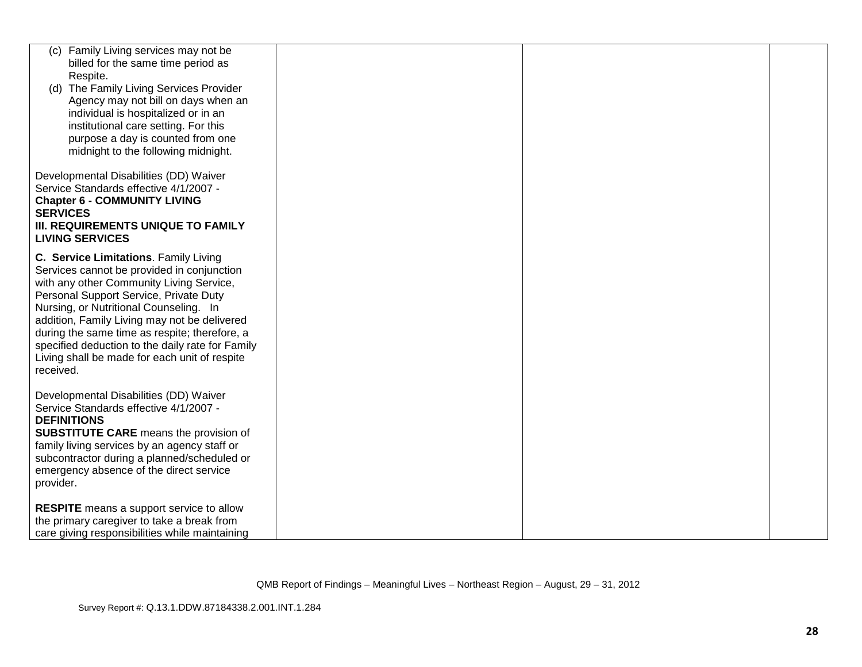| Family Living services may not be<br>(C)         |  |  |
|--------------------------------------------------|--|--|
| billed for the same time period as               |  |  |
| Respite.                                         |  |  |
| (d) The Family Living Services Provider          |  |  |
| Agency may not bill on days when an              |  |  |
| individual is hospitalized or in an              |  |  |
|                                                  |  |  |
| institutional care setting. For this             |  |  |
| purpose a day is counted from one                |  |  |
| midnight to the following midnight.              |  |  |
|                                                  |  |  |
| Developmental Disabilities (DD) Waiver           |  |  |
| Service Standards effective 4/1/2007 -           |  |  |
| <b>Chapter 6 - COMMUNITY LIVING</b>              |  |  |
| <b>SERVICES</b>                                  |  |  |
| III. REQUIREMENTS UNIQUE TO FAMILY               |  |  |
|                                                  |  |  |
| <b>LIVING SERVICES</b>                           |  |  |
| C. Service Limitations. Family Living            |  |  |
| Services cannot be provided in conjunction       |  |  |
| with any other Community Living Service,         |  |  |
|                                                  |  |  |
| Personal Support Service, Private Duty           |  |  |
| Nursing, or Nutritional Counseling. In           |  |  |
| addition, Family Living may not be delivered     |  |  |
| during the same time as respite; therefore, a    |  |  |
| specified deduction to the daily rate for Family |  |  |
| Living shall be made for each unit of respite    |  |  |
| received.                                        |  |  |
|                                                  |  |  |
| Developmental Disabilities (DD) Waiver           |  |  |
| Service Standards effective 4/1/2007 -           |  |  |
|                                                  |  |  |
| <b>DEFINITIONS</b>                               |  |  |
| <b>SUBSTITUTE CARE</b> means the provision of    |  |  |
| family living services by an agency staff or     |  |  |
| subcontractor during a planned/scheduled or      |  |  |
| emergency absence of the direct service          |  |  |
| provider.                                        |  |  |
|                                                  |  |  |
| <b>RESPITE</b> means a support service to allow  |  |  |
| the primary caregiver to take a break from       |  |  |
|                                                  |  |  |
| care giving responsibilities while maintaining   |  |  |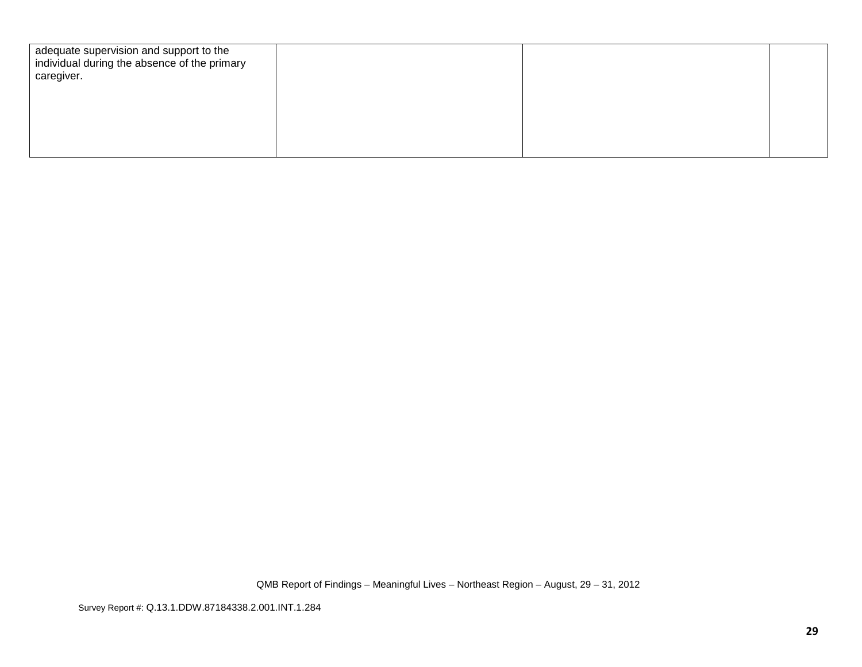| adequate supervision and support to the<br>individual during the absence of the primary<br>caregiver. |  |  |
|-------------------------------------------------------------------------------------------------------|--|--|
|                                                                                                       |  |  |
|                                                                                                       |  |  |
|                                                                                                       |  |  |